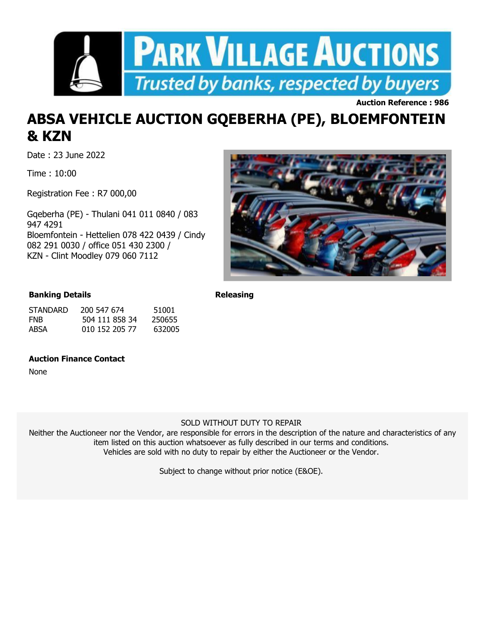

**Auction Reference : 986**

## **ABSA VEHICLE AUCTION GQEBERHA (PE), BLOEMFONTEIN & KZN**

Date : 23 June 2022

Time : 10:00

Registration Fee : R7 000,00

Gqeberha (PE) - Thulani 041 011 0840 / 083 947 4291 Bloemfontein - Hettelien 078 422 0439 / Cindy 082 291 0030 / office 051 430 2300 / KZN - Clint Moodley 079 060 7112



## **Banking Details**

| <b>STANDARD</b> | 200 547 674    | 51001  |
|-----------------|----------------|--------|
| <b>FNB</b>      | 504 111 858 34 | 250655 |
| ABSA            | 010 152 205 77 | 632005 |

## **Auction Finance Contact**

None

**Releasing**

## SOLD WITHOUT DUTY TO REPAIR

Neither the Auctioneer nor the Vendor, are responsible for errors in the description of the nature and characteristics of any item listed on this auction whatsoever as fully described in our terms and conditions. Vehicles are sold with no duty to repair by either the Auctioneer or the Vendor.

Subject to change without prior notice (E&OE).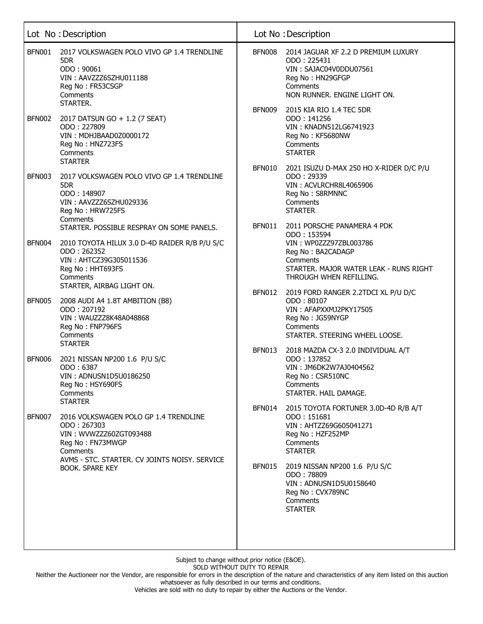|               | Lot No: Description                                                                                                                                                      |                  | Lot No: Description                                                                                                                                             |
|---------------|--------------------------------------------------------------------------------------------------------------------------------------------------------------------------|------------------|-----------------------------------------------------------------------------------------------------------------------------------------------------------------|
| <b>BFN001</b> | 2017 VOLKSWAGEN POLO VIVO GP 1.4 TRENDLINE<br>5DR<br>ODO: 90061<br>VIN: AAVZZZ6SZHU011188<br>Reg No: FR53CSGP<br>Comments<br>STARTER.                                    | <b>BFN008</b>    | 2014 JAGUAR XF 2.2 D PREMIUM LUXURY<br>ODO: 225431<br>VIN: SAJAC04V0DDU07561<br>Reg No: HN29GFGP<br>Comments<br>NON RUNNER. ENGINE LIGHT ON.                    |
| <b>BFN002</b> | 2017 DATSUN GO + 1.2 (7 SEAT)<br>ODO: 227809<br>VIN: MDHJBAAD0Z0000172<br>Reg No: HNZ723FS<br>Comments<br><b>STARTER</b>                                                 | BFN009           | 2015 KIA RIO 1.4 TEC 5DR<br>ODO: 141256<br>VIN: KNADN512LG6741923<br>Reg No: KFS680NW<br>Comments<br><b>STARTER</b>                                             |
| <b>BFN003</b> | 2017 VOLKSWAGEN POLO VIVO GP 1.4 TRENDLINE<br>5DR.<br>ODO: 148907<br>VIN: AAVZZZ6SZHU029336<br>Reg No: HRW725FS<br>Comments<br>STARTER. POSSIBLE RESPRAY ON SOME PANELS. | BFN010<br>BFN011 | 2021 ISUZU D-MAX 250 HO X-RIDER D/C P/U<br>ODO: 29339<br>VIN: ACVLRCHR8L4065906<br>Reg No: S8RMNNC<br>Comments<br><b>STARTER</b><br>2011 PORSCHE PANAMERA 4 PDK |
| BFN004        | 2010 TOYOTA HILUX 3.0 D-4D RAIDER R/B P/U S/C<br>ODO: 262352<br>VIN: AHTCZ39G305011536<br>Reg No: HHT693FS<br>Comments<br>STARTER, AIRBAG LIGHT ON.                      |                  | ODO: 153594<br>VIN: WP0ZZZ97ZBL003786<br>Reg No: BA2CADAGP<br>Comments<br>STARTER. MAJOR WATER LEAK - RUNS RIGHT<br>THROUGH WHEN REFILLING.                     |
| <b>BFN005</b> | 2008 AUDI A4 1.8T AMBITION (B8)<br>ODO: 207192<br>VIN: WAUZZZ8K48A048868<br>Reg No: FNP796FS<br>Comments<br><b>STARTER</b>                                               | <b>BFN012</b>    | 2019 FORD RANGER 2.2TDCI XL P/U D/C<br>ODO: 80107<br>VIN: AFAPXXMJ2PKY17505<br>Reg No: JG59NYGP<br>Comments<br>STARTER. STEERING WHEEL LOOSE.                   |
| <b>BFN006</b> | 2021 NISSAN NP200 1.6 P/U S/C<br>ODO: 6387<br>VIN: ADNUSN1D5U0186250<br>Reg No: HSY690FS<br>Comments<br><b>STARTER</b>                                                   | <b>BFN013</b>    | 2018 MAZDA CX-3 2.0 INDIVIDUAL A/T<br>ODO: 137852<br>VIN: JM6DK2W7AJ0404562<br>Reg No: CSR510NC<br>Comments<br>STARTER. HAIL DAMAGE.                            |
| <b>BFN007</b> | 2016 VOLKSWAGEN POLO GP 1.4 TRENDLINE<br>ODO: 267303<br>VIN: WVWZZZ60ZGT093488<br>Reg No: FN73MWGP<br>Comments<br>AVMS - STC. STARTER. CV JOINTS NOISY. SERVICE          | BFN014           | 2015 TOYOTA FORTUNER 3.0D-4D R/B A/T<br>ODO: 151681<br>VIN: AHTZZ69G605041271<br>Reg No: HZF252MP<br>Comments<br><b>STARTER</b>                                 |
|               | <b>BOOK. SPARE KEY</b>                                                                                                                                                   | BFN015           | 2019 NISSAN NP200 1.6 P/U S/C<br>ODO: 78809<br>VIN: ADNUSN1D5U0158640<br>Reg No: CVX789NC<br>Comments<br><b>STARTER</b>                                         |

Neither the Auctioneer nor the Vendor, are responsible for errors in the description of the nature and characteristics of any item listed on this auction whatsoever as fully described in our terms and conditions.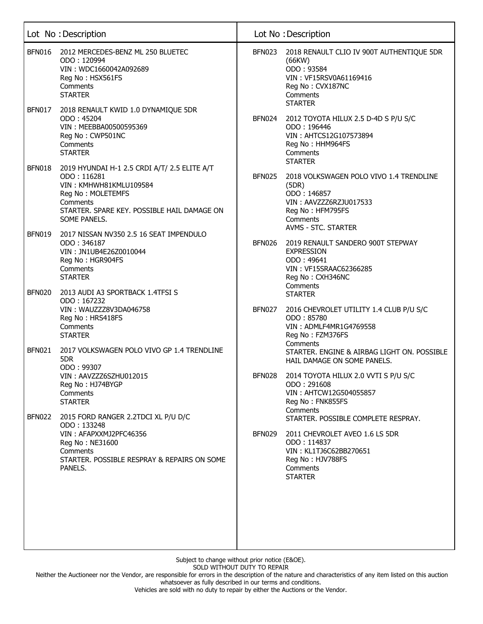|               | Lot No: Description                                                                                                                                                                   |               | Lot No: Description                                                                                                                                     |
|---------------|---------------------------------------------------------------------------------------------------------------------------------------------------------------------------------------|---------------|---------------------------------------------------------------------------------------------------------------------------------------------------------|
| <b>BFN016</b> | 2012 MERCEDES-BENZ ML 250 BLUETEC<br>ODO: 120994<br>VIN: WDC1660042A092689<br>Reg No: HSX561FS<br>Comments<br><b>STARTER</b>                                                          | <b>BFN023</b> | 2018 RENAULT CLIO IV 900T AUTHENTIQUE 5DR<br>(66KW)<br>ODO: 93584<br>VIN: VF15RSV0A61169416<br>Reg No: CVX187NC<br>Comments<br><b>STARTER</b>           |
| <b>BFN017</b> | 2018 RENAULT KWID 1.0 DYNAMIQUE 5DR<br>ODO: 45204<br>VIN: MEEBBA00500595369<br>Reg No: CWP501NC<br>Comments<br><b>STARTER</b>                                                         | <b>BFN024</b> | 2012 TOYOTA HILUX 2.5 D-4D S P/U S/C<br>ODO: 196446<br>VIN: AHTCS12G107573894<br>Reg No: HHM964FS<br>Comments<br><b>STARTER</b>                         |
| <b>BFN018</b> | 2019 HYUNDAI H-1 2.5 CRDI A/T/ 2.5 ELITE A/T<br>ODO: 116281<br>VIN: KMHWH81KMLU109584<br>Reg No: MOLETEMFS<br>Comments<br>STARTER. SPARE KEY. POSSIBLE HAIL DAMAGE ON<br>SOME PANELS. | <b>BFN025</b> | 2018 VOLKSWAGEN POLO VIVO 1.4 TRENDLINE<br>(5DR)<br>ODO: 146857<br>VIN: AAVZZZ6RZJU017533<br>Reg No: HFM795FS<br>Comments<br><b>AVMS - STC. STARTER</b> |
| <b>BFN019</b> | 2017 NISSAN NV350 2.5 16 SEAT IMPENDULO<br>ODO: 346187<br>VIN: JN1UB4E26Z0010044<br>Reg No: HGR904FS<br>Comments<br><b>STARTER</b>                                                    | <b>BFN026</b> | 2019 RENAULT SANDERO 900T STEPWAY<br><b>EXPRESSION</b><br>ODO: 49641<br>VIN: VF15SRAAC62366285<br>Reg No: CXH346NC<br>Comments                          |
| <b>BFN020</b> | 2013 AUDI A3 SPORTBACK 1.4TFSI S<br>ODO: 167232<br>VIN: WAUZZZ8V3DA046758<br>Reg No: HRS418FS<br>Comments<br><b>STARTER</b>                                                           | BFN027        | <b>STARTER</b><br>2016 CHEVROLET UTILITY 1.4 CLUB P/U S/C<br>ODO: 85780<br>VIN: ADMLF4MR1G4769558<br>Reg No: FZM376FS                                   |
| <b>BFN021</b> | 2017 VOLKSWAGEN POLO VIVO GP 1.4 TRENDLINE<br>5DR<br>ODO: 99307<br>VIN: AAVZZZ6SZHU012015<br>Reg No: HJ74BYGP                                                                         | <b>BFN028</b> | Comments<br>STARTER. ENGINE & AIRBAG LIGHT ON. POSSIBLE<br>HAIL DAMAGE ON SOME PANELS.<br>2014 TOYOTA HILUX 2.0 VVTI S P/U S/C<br>ODO: 291608           |
| <b>BFN022</b> | Comments<br><b>STARTER</b><br>2015 FORD RANGER 2.2TDCI XL P/U D/C                                                                                                                     |               | VIN: AHTCW12G504055857<br>Reg No: FNK855FS<br>Comments<br>STARTER. POSSIBLE COMPLETE RESPRAY.                                                           |
|               | ODO: 133248<br>VIN: AFAPXXMJ2PFC46356<br>Reg No: NE31600<br>Comments<br>STARTER. POSSIBLE RESPRAY & REPAIRS ON SOME<br>PANELS.                                                        | BFN029        | 2011 CHEVROLET AVEO 1.6 LS 5DR<br>ODO: 114837<br>VIN: KL1TJ6C62BB270651<br>Reg No: HJV788FS<br>Comments<br><b>STARTER</b>                               |

Neither the Auctioneer nor the Vendor, are responsible for errors in the description of the nature and characteristics of any item listed on this auction whatsoever as fully described in our terms and conditions.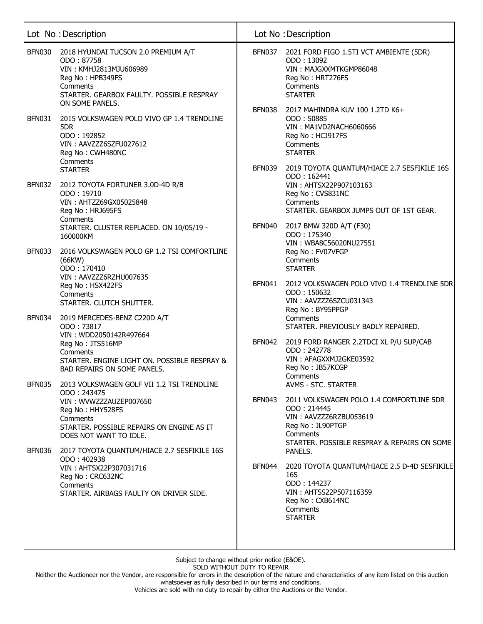|               | Lot No: Description                                                                                                                                                         |                         | Lot No: Description                                                                                                                                                      |
|---------------|-----------------------------------------------------------------------------------------------------------------------------------------------------------------------------|-------------------------|--------------------------------------------------------------------------------------------------------------------------------------------------------------------------|
| <b>BFN030</b> | 2018 HYUNDAI TUCSON 2.0 PREMIUM A/T<br>ODO: 87758<br>VIN: KMHJ2813MJU606989<br>Reg No: HPB349FS<br>Comments<br>STARTER. GEARBOX FAULTY. POSSIBLE RESPRAY<br>ON SOME PANELS. | BFN037                  | 2021 FORD FIGO 1.5TI VCT AMBIENTE (5DR)<br>ODO: 13092<br>VIN: MAJGXXMTKGMP86048<br>Reg No: HRT276FS<br>Comments<br><b>STARTER</b>                                        |
| <b>BFN031</b> | 2015 VOLKSWAGEN POLO VIVO GP 1.4 TRENDLINE<br>5DR<br>ODO: 192852<br>VIN: AAVZZZ6SZFU027612<br>Reg No: CWH480NC<br>Comments<br><b>STARTER</b>                                | <b>BFN038</b><br>BFN039 | 2017 MAHINDRA KUV 100 1.2TD K6+<br>ODO: 50885<br>VIN: MA1VD2NACH6060666<br>Reg No: HCJ917FS<br>Comments<br><b>STARTER</b><br>2019 TOYOTA QUANTUM/HIACE 2.7 SESFIKILE 16S |
| <b>BFN032</b> | 2012 TOYOTA FORTUNER 3.0D-4D R/B<br>ODO: 19710<br>VIN: AHTZZ69GX05025848<br>Reg No: HRJ695FS<br>Comments<br>STARTER. CLUSTER REPLACED. ON 10/05/19 -<br>160000KM            | <b>BFN040</b>           | ODO: 162441<br>VIN: AHTSX22P907103163<br>Reg No: CVS831NC<br>Comments<br>STARTER. GEARBOX JUMPS OUT OF 1ST GEAR.<br>2017 BMW 320D A/T (F30)<br>ODO: 175340               |
| <b>BFN033</b> | 2016 VOLKSWAGEN POLO GP 1.2 TSI COMFORTLINE<br>(66KW)<br>ODO: 170410<br>VIN: AAVZZZ6RZHU007635<br>Reg No: HSX422FS                                                          | <b>BFN041</b>           | VIN: WBA8C56020NU27551<br>Reg No: FV07VFGP<br>Comments<br><b>STARTER</b><br>2012 VOLKSWAGEN POLO VIVO 1.4 TRENDLINE 5DR                                                  |
| <b>BFN034</b> | Comments<br>STARTER. CLUTCH SHUTTER.<br>2019 MERCEDES-BENZ C220D A/T<br>ODO: 73817<br>VIN: WDD2050142R497664<br>Reg No: JTS516MP                                            |                         | ODO: 150632<br>VIN: AAVZZZ6SZCU031343<br>Reg No: BY95PPGP<br>Comments<br>STARTER. PREVIOUSLY BADLY REPAIRED.<br>BFN042 2019 FORD RANGER 2.2TDCI XL P/U SUP/CAB           |
| <b>BFN035</b> | Comments<br>STARTER. ENGINE LIGHT ON. POSSIBLE RESPRAY &<br>BAD REPAIRS ON SOME PANELS.<br>2013 VOLKSWAGEN GOLF VII 1.2 TSI TRENDLINE                                       |                         | ODO: 242778<br>VIN: AFAGXXMJ2GKE03592<br>Reg No: JB57KCGP<br>Comments<br><b>AVMS - STC. STARTER</b>                                                                      |
|               | ODO: 243475<br>VIN: WVWZZZAUZEP007650<br>Reg No: HHY528FS<br>Comments<br>STARTER. POSSIBLE REPAIRS ON ENGINE AS IT<br>DOES NOT WANT TO IDLE.                                | BFN043                  | 2011 VOLKSWAGEN POLO 1.4 COMFORTLINE 5DR<br>ODO: 214445<br>VIN: AAVZZZ6RZBU053619<br>Reg No: JL90PTGP<br>Comments<br>STARTER. POSSIBLE RESPRAY & REPAIRS ON SOME         |
| <b>BFN036</b> | 2017 TOYOTA QUANTUM/HIACE 2.7 SESFIKILE 16S<br>ODO: 402938<br>VIN: AHTSX22P307031716<br>Reg No: CRC632NC<br>Comments<br>STARTER, AIRBAGS FAULTY ON DRIVER SIDE.             | BFN044                  | PANELS.<br>2020 TOYOTA QUANTUM/HIACE 2.5 D-4D SESFIKILE<br>16S<br>ODO: 144237<br>VIN: AHTSS22P507116359<br>Reg No: CXB614NC<br>Comments<br><b>STARTER</b>                |

Neither the Auctioneer nor the Vendor, are responsible for errors in the description of the nature and characteristics of any item listed on this auction whatsoever as fully described in our terms and conditions.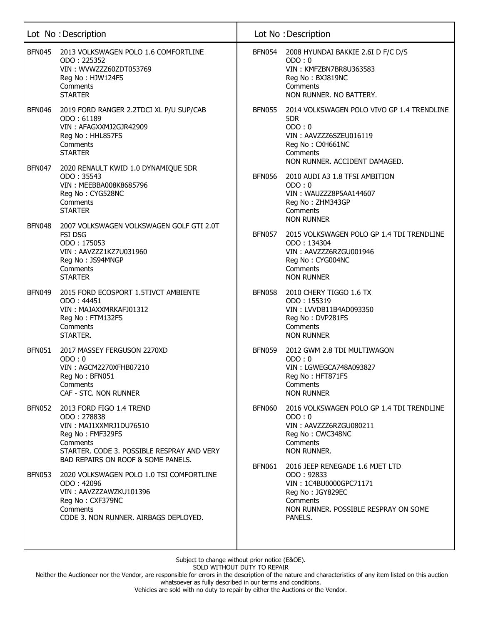|               | Lot No : Description                                                                                                                                                                  |               | Lot No: Description                                                                                                                                        |
|---------------|---------------------------------------------------------------------------------------------------------------------------------------------------------------------------------------|---------------|------------------------------------------------------------------------------------------------------------------------------------------------------------|
| BFN045        | 2013 VOLKSWAGEN POLO 1.6 COMFORTLINE<br>ODO: 225352<br>VIN: WVWZZZ60ZDT053769<br>Reg No: HJW124FS<br>Comments<br><b>STARTER</b>                                                       | BFN054        | 2008 HYUNDAI BAKKIE 2.6I D F/C D/S<br>ODO:0<br>VIN: KMFZBN7BR8U363583<br>Reg No: BXJ819NC<br>Comments<br>NON RUNNER. NO BATTERY.                           |
| <b>BFN046</b> | 2019 FORD RANGER 2.2TDCI XL P/U SUP/CAB<br>ODO: 61189<br>VIN: AFAGXXMJ2GJR42909<br>Reg No: HHL857FS<br>Comments<br><b>STARTER</b>                                                     | BFN055        | 2014 VOLKSWAGEN POLO VIVO GP 1.4 TRENDLINE<br>5DR<br>ODO:0<br>VIN: AAVZZZ6SZEU016119<br>Reg No: CXH661NC<br>Comments<br>NON RUNNER. ACCIDENT DAMAGED.      |
| <b>BFN047</b> | 2020 RENAULT KWID 1.0 DYNAMIQUE 5DR<br>ODO: 35543<br>VIN: MEEBBA008K8685796<br>Reg No: CYG528NC<br>Comments<br><b>STARTER</b>                                                         | <b>BFN056</b> | 2010 AUDI A3 1.8 TFSI AMBITION<br>ODO:0<br>VIN: WAUZZZ8P5AA144607<br>Reg No: ZHM343GP<br>Comments<br><b>NON RUNNER</b>                                     |
| <b>BFN048</b> | 2007 VOLKSWAGEN VOLKSWAGEN GOLF GTI 2.0T<br><b>FSI DSG</b><br>ODO: 175053<br>VIN: AAVZZZ1KZ7U031960<br>Reg No: JS94MNGP<br>Comments<br><b>STARTER</b>                                 | <b>BFN057</b> | 2015 VOLKSWAGEN POLO GP 1.4 TDI TRENDLINE<br>ODO: 134304<br>VIN: AAVZZZ6RZGU001946<br>Reg No: CYG004NC<br>Comments<br><b>NON RUNNER</b>                    |
| <b>BFN049</b> | 2015 FORD ECOSPORT 1.5TIVCT AMBIENTE<br>ODO: 44451<br>VIN: MAJAXXMRKAFJ01312<br>Reg No: FTM132FS<br>Comments<br>STARTER.                                                              | <b>BFN058</b> | 2010 CHERY TIGGO 1.6 TX<br>ODO: 155319<br>VIN: LVVDB11B4AD093350<br>Reg No: DVP281FS<br>Comments<br><b>NON RUNNER</b>                                      |
| <b>BFN051</b> | 2017 MASSEY FERGUSON 2270XD<br>ODO:0<br>VIN: AGCM2270XFHB07210<br>Reg No: BFN051<br>Comments<br>CAF - STC. NON RUNNER                                                                 | <b>BFN059</b> | 2012 GWM 2.8 TDI MULTIWAGON<br>ODO:0<br>VIN: LGWEGCA748A093827<br>Reg No: HFT871FS<br>Comments<br><b>NON RUNNER</b>                                        |
| <b>BFN052</b> | 2013 FORD FIGO 1.4 TREND<br>ODO: 278838<br>VIN: MAJ1XXMRJ1DU76510<br>Reg No: FMF329FS<br>Comments<br>STARTER. CODE 3. POSSIBLE RESPRAY AND VERY<br>BAD REPAIRS ON ROOF & SOME PANELS. | <b>BFN060</b> | 2016 VOLKSWAGEN POLO GP 1.4 TDI TRENDLINE<br>ODO:0<br>VIN: AAVZZZ6RZGU080211<br>Reg No: CWC348NC<br>Comments<br>NON RUNNER.                                |
| BFN053        | 2020 VOLKSWAGEN POLO 1.0 TSI COMFORTLINE<br>ODO: 42096<br>VIN: AAVZZZAWZKU101396<br>Reg No: CXF379NC<br>Comments<br>CODE 3. NON RUNNER. AIRBAGS DEPLOYED.                             | BFN061        | 2016 JEEP RENEGADE 1.6 MJET LTD<br>ODO: 92833<br>VIN: 1C4BU0000GPC71171<br>Reg No: JGY829EC<br>Comments<br>NON RUNNER. POSSIBLE RESPRAY ON SOME<br>PANELS. |

Neither the Auctioneer nor the Vendor, are responsible for errors in the description of the nature and characteristics of any item listed on this auction whatsoever as fully described in our terms and conditions.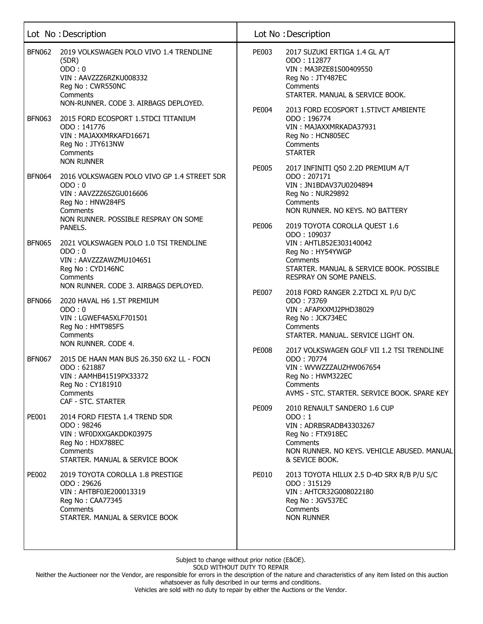|               | Lot No : Description                                                                                                                                              |                              | Lot No: Description                                                                                                                                                                             |
|---------------|-------------------------------------------------------------------------------------------------------------------------------------------------------------------|------------------------------|-------------------------------------------------------------------------------------------------------------------------------------------------------------------------------------------------|
| <b>BFN062</b> | 2019 VOLKSWAGEN POLO VIVO 1.4 TRENDLINE<br>(5DR)<br>ODO:0<br>VIN: AAVZZZ6RZKU008332<br>Reg No: CWR550NC<br>Comments<br>NON-RUNNER. CODE 3. AIRBAGS DEPLOYED.      | <b>PE003</b>                 | 2017 SUZUKI ERTIGA 1.4 GL A/T<br>ODO: 112877<br>VIN: MA3PZE81S00409550<br>Reg No: JTY487EC<br>Comments<br>STARTER. MANUAL & SERVICE BOOK.                                                       |
| <b>BFN063</b> | 2015 FORD ECOSPORT 1.5TDCI TITANIUM<br>ODO: 141776<br>VIN: MAJAXXMRKAFD16671<br>Reg No: JTY613NW<br>Comments<br><b>NON RUNNER</b>                                 | <b>PE004</b>                 | 2013 FORD ECOSPORT 1.5TIVCT AMBIENTE<br>ODO: 196774<br>VIN: MAJAXXMRKADA37931<br>Reg No: HCN805EC<br>Comments<br><b>STARTER</b>                                                                 |
| <b>BFN064</b> | 2016 VOLKSWAGEN POLO VIVO GP 1.4 STREET 5DR<br>ODO:0<br>VIN: AAVZZZ6SZGU016606<br>Reg No: HNW284FS<br>Comments<br>NON RUNNER. POSSIBLE RESPRAY ON SOME<br>PANELS. | <b>PE005</b><br>PE006        | 2017 INFINITI Q50 2.2D PREMIUM A/T<br>ODO: 207171<br>VIN: JN1BDAV37U0204894<br>Reg No: NUR29892<br>Comments<br>NON RUNNER. NO KEYS. NO BATTERY<br>2019 TOYOTA COROLLA QUEST 1.6                 |
| <b>BFN065</b> | 2021 VOLKSWAGEN POLO 1.0 TSI TRENDLINE<br>ODO:0<br>VIN: AAVZZZAWZMU104651<br>Reg No: CYD146NC<br>Comments<br>NON RUNNER. CODE 3. AIRBAGS DEPLOYED.                |                              | ODO: 109037<br>VIN: AHTLB52E303140042<br>Reg No: HY54YWGP<br>Comments<br>STARTER. MANUAL & SERVICE BOOK. POSSIBLE<br>RESPRAY ON SOME PANELS.                                                    |
| <b>BFN066</b> | 2020 HAVAL H6 1.5T PREMIUM<br>ODO:0<br>VIN: LGWEF4A5XLF701501<br>Reg No: HMT985FS<br>Comments<br>NON RUNNER. CODE 4.                                              | <b>PE007</b><br><b>PE008</b> | 2018 FORD RANGER 2.2TDCI XL P/U D/C<br>ODO: 73769<br>VIN: AFAPXXMJ2PHD38029<br>Reg No: JCK734EC<br>Comments<br>STARTER. MANUAL. SERVICE LIGHT ON.<br>2017 VOLKSWAGEN GOLF VII 1.2 TSI TRENDLINE |
| <b>BFN067</b> | 2015 DE HAAN MAN BUS 26.350 6X2 LL - FOCN<br>ODO: 621887<br>VIN: AAMHB41519PX33372<br>Reg No: CY181910<br>Comments<br>CAF - STC. STARTER                          | PE009                        | ODO: 70774<br>VIN: WVWZZZAUZHW067654<br>Reg No: HWM322EC<br>Comments<br>AVMS - STC. STARTER. SERVICE BOOK. SPARE KEY<br>2010 RENAULT SANDERO 1.6 CUP                                            |
| PE001         | 2014 FORD FIESTA 1.4 TREND 5DR<br>ODO: 98246<br>VIN: WF0DXXGAKDDK03975<br>Reg No: HDX788EC<br>Comments<br>STARTER. MANUAL & SERVICE BOOK                          |                              | ODO:1<br>VIN: ADRBSRADB43303267<br>Reg No: FTX918EC<br>Comments<br>NON RUNNER. NO KEYS. VEHICLE ABUSED. MANUAL<br>& SEVICE BOOK.                                                                |
| <b>PE002</b>  | 2019 TOYOTA COROLLA 1.8 PRESTIGE<br>ODO: 29626<br>VIN: AHTBF0JE200013319<br>Reg No: CAA77345<br>Comments<br>STARTER. MANUAL & SERVICE BOOK                        | <b>PE010</b>                 | 2013 TOYOTA HILUX 2.5 D-4D SRX R/B P/U S/C<br>ODO: 315129<br>VIN: AHTCR32G008022180<br>Reg No: JGV537EC<br>Comments<br><b>NON RUNNER</b>                                                        |

Neither the Auctioneer nor the Vendor, are responsible for errors in the description of the nature and characteristics of any item listed on this auction whatsoever as fully described in our terms and conditions.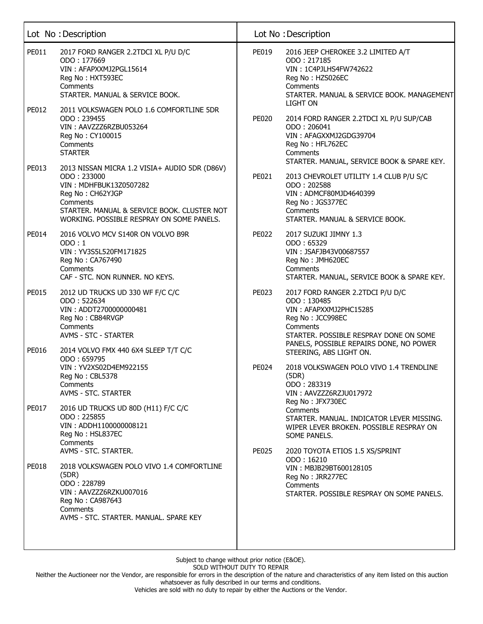|              | Lot No: Description                                                                                                                                                                                                |              | Lot No: Description                                                                                                                                                                            |
|--------------|--------------------------------------------------------------------------------------------------------------------------------------------------------------------------------------------------------------------|--------------|------------------------------------------------------------------------------------------------------------------------------------------------------------------------------------------------|
| PE011        | 2017 FORD RANGER 2.2TDCI XL P/U D/C<br>ODO: 177669<br>VIN: AFAPXXMJ2PGL15614<br>Reg No: HXT593EC<br>Comments<br>STARTER. MANUAL & SERVICE BOOK.                                                                    | PE019        | 2016 JEEP CHEROKEE 3.2 LIMITED A/T<br>ODO: 217185<br>VIN: 1C4PJLHS4FW742622<br>Reg No: HZS026EC<br>Comments<br>STARTER. MANUAL & SERVICE BOOK. MANAGEMENT                                      |
| PE012        | 2011 VOLKSWAGEN POLO 1.6 COMFORTLINE 5DR<br>ODO: 239455<br>VIN: AAVZZZ6RZBU053264<br>Reg No: CY100015<br>Comments<br><b>STARTER</b>                                                                                | <b>PE020</b> | <b>LIGHT ON</b><br>2014 FORD RANGER 2.2TDCI XL P/U SUP/CAB<br>ODO: 206041<br>VIN: AFAGXXMJ2GDG39704<br>Reg No: HFL762EC<br>Comments<br>STARTER. MANUAL, SERVICE BOOK & SPARE KEY.              |
| PE013        | 2013 NISSAN MICRA 1.2 VISIA+ AUDIO 5DR (D86V)<br>ODO: 233000<br>VIN: MDHFBUK13Z0507282<br>Reg No: CH62YJGP<br>Comments<br>STARTER. MANUAL & SERVICE BOOK. CLUSTER NOT<br>WORKING. POSSIBLE RESPRAY ON SOME PANELS. | PE021        | 2013 CHEVROLET UTILITY 1.4 CLUB P/U S/C<br>ODO: 202588<br>VIN: ADMCF80MJD4640399<br>Reg No: JGS377EC<br>Comments<br>STARTER. MANUAL & SERVICE BOOK.                                            |
| PE014        | 2016 VOLVO MCV S140R ON VOLVO B9R<br>ODO:1<br>VIN: YV3S5L520FM171825<br>Reg No: CA767490<br>Comments<br>CAF - STC. NON RUNNER. NO KEYS.                                                                            | <b>PE022</b> | 2017 SUZUKI JIMNY 1.3<br>ODO: 65329<br>VIN: JSAFJB43V00687557<br>Reg No: JMH620EC<br>Comments<br>STARTER. MANUAL, SERVICE BOOK & SPARE KEY.                                                    |
| <b>PE015</b> | 2012 UD TRUCKS UD 330 WF F/C C/C<br>ODO: 522634<br>VIN: ADDT2700000000481<br>Reg No: CB84RVGP<br>Comments<br>AVMS - STC - STARTER                                                                                  | PE023        | 2017 FORD RANGER 2.2TDCI P/U D/C<br>ODO: 130485<br>VIN: AFAPXXMJ2PHC15285<br>Reg No: JCC998EC<br>Comments<br>STARTER. POSSIBLE RESPRAY DONE ON SOME<br>PANELS, POSSIBLE REPAIRS DONE, NO POWER |
| PE016        | 2014 VOLVO FMX 440 6X4 SLEEP T/T C/C<br>ODO: 659795<br>VIN: YV2XS02D4EM922155<br>Reg No: CBL5378<br>Comments<br>AVMS - STC. STARTER                                                                                | <b>PE024</b> | STEERING, ABS LIGHT ON.<br>2018 VOLKSWAGEN POLO VIVO 1.4 TRENDLINE<br>(5DR)<br>ODO: 283319<br>VIN: AAVZZZ6RZJU017972<br>Reg No: JFX730EC                                                       |
| PE017        | 2016 UD TRUCKS UD 80D (H11) F/C C/C<br>ODO: 225855<br>VIN: ADDH1100000008121<br>Reg No: HSL837EC<br>Comments<br>AVMS - STC. STARTER.                                                                               | <b>PE025</b> | Comments<br>STARTER. MANUAL. INDICATOR LEVER MISSING.<br>WIPER LEVER BROKEN. POSSIBLE RESPRAY ON<br>SOME PANELS.<br>2020 TOYOTA ETIOS 1.5 XS/SPRINT                                            |
| PE018        | 2018 VOLKSWAGEN POLO VIVO 1.4 COMFORTLINE<br>(5DR)<br>ODO: 228789<br>VIN: AAVZZZ6RZKU007016<br>Reg No: CA987643<br>Comments<br>AVMS - STC. STARTER. MANUAL. SPARE KEY                                              |              | ODO: 16210<br>VIN: MBJB29BT600128105<br>Reg No: JRR277EC<br>Comments<br>STARTER, POSSIBLE RESPRAY ON SOME PANELS.                                                                              |

Neither the Auctioneer nor the Vendor, are responsible for errors in the description of the nature and characteristics of any item listed on this auction whatsoever as fully described in our terms and conditions.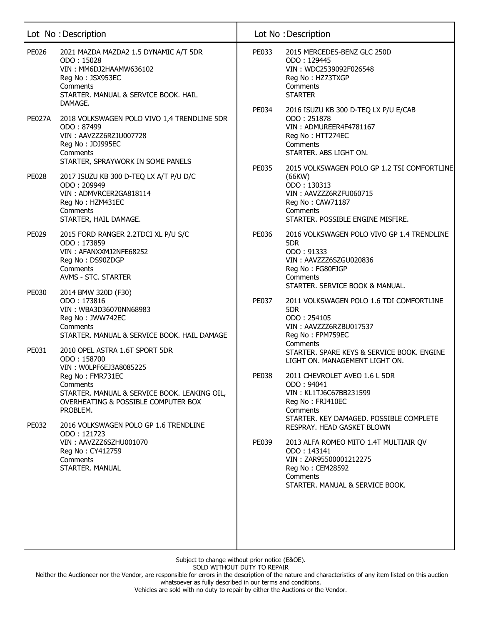|                | Lot No: Description                                                                                                                                                                                               |              | Lot No: Description                                                                                                                                                                                              |
|----------------|-------------------------------------------------------------------------------------------------------------------------------------------------------------------------------------------------------------------|--------------|------------------------------------------------------------------------------------------------------------------------------------------------------------------------------------------------------------------|
| <b>PE026</b>   | 2021 MAZDA MAZDA2 1.5 DYNAMIC A/T 5DR<br>ODO: 15028<br>VIN: MM6DJ2HAAMW636102<br>Reg No: JSX953EC<br>Comments<br>STARTER. MANUAL & SERVICE BOOK. HAIL<br>DAMAGE.                                                  | PE033        | 2015 MERCEDES-BENZ GLC 250D<br>ODO: 129445<br>VIN: WDC2539092F026548<br>Reg No: HZ73TXGP<br>Comments<br><b>STARTER</b>                                                                                           |
| <b>PE027A</b>  | 2018 VOLKSWAGEN POLO VIVO 1,4 TRENDLINE 5DR<br>ODO: 87499<br>VIN: AAVZZZ6RZJU007728<br>Reg No: JDJ995EC<br>Comments<br>STARTER, SPRAYWORK IN SOME PANELS                                                          | PE034        | 2016 ISUZU KB 300 D-TEQ LX P/U E/CAB<br>ODO: 251878<br>VIN: ADMUREER4F4781167<br>Reg No: HTT274EC<br>Comments<br>STARTER. ABS LIGHT ON.                                                                          |
| <b>PE028</b>   | 2017 ISUZU KB 300 D-TEQ LX A/T P/U D/C<br>ODO: 209949<br>VIN: ADMVRCER2GA818114<br>Reg No: HZM431EC<br>Comments<br>STARTER, HAIL DAMAGE.                                                                          | <b>PE035</b> | 2015 VOLKSWAGEN POLO GP 1.2 TSI COMFORTLINE<br>(66KW)<br>ODO: 130313<br>VIN: AAVZZZ6RZFU060715<br>Reg No: CAW71187<br>Comments<br>STARTER. POSSIBLE ENGINE MISFIRE.                                              |
| PE029          | 2015 FORD RANGER 2.2TDCI XL P/U S/C<br>ODO: 173859<br>VIN: AFANXXMJ2NFE68252<br>Reg No: DS90ZDGP<br>Comments<br>AVMS - STC. STARTER                                                                               | PE036        | 2016 VOLKSWAGEN POLO VIVO GP 1.4 TRENDLINE<br>5DR<br>ODO: 91333<br>VIN: AAVZZZ6SZGU020836<br>Reg No: FG80FJGP<br>Comments<br>STARTER. SERVICE BOOK & MANUAL.                                                     |
| PE030<br>PE031 | 2014 BMW 320D (F30)<br>ODO: 173816<br>VIN: WBA3D36070NN68983<br>Reg No: JWW742EC<br>Comments<br>STARTER. MANUAL & SERVICE BOOK. HAIL DAMAGE<br>2010 OPEL ASTRA 1.6T SPORT 5DR                                     | <b>PE037</b> | 2011 VOLKSWAGEN POLO 1.6 TDI COMFORTLINE<br>5DR<br>ODO: 254105<br>VIN: AAVZZZ6RZBU017537<br>Reg No: FPM759EC<br>Comments<br>STARTER. SPARE KEYS & SERVICE BOOK. ENGINE                                           |
| PE032          | ODO: 158700<br>VIN: WOLPF6EJ3A8085225<br>Reg No: FMR731EC<br>Comments<br>STARTER. MANUAL & SERVICE BOOK. LEAKING OIL,<br>OVERHEATING & POSSIBLE COMPUTER BOX<br>PROBLEM.<br>2016 VOLKSWAGEN POLO GP 1.6 TRENDLINE | <b>PE038</b> | LIGHT ON. MANAGEMENT LIGHT ON.<br>2011 CHEVROLET AVEO 1.6 L 5DR<br>ODO: 94041<br>VIN: KL1TJ6C67BB231599<br>Reg No: FRJ410EC<br>Comments<br>STARTER. KEY DAMAGED. POSSIBLE COMPLETE<br>RESPRAY. HEAD GASKET BLOWN |
|                | ODO: 121723<br>VIN: AAVZZZ6SZHU001070<br>Reg No: CY412759<br>Comments<br>STARTER, MANUAL                                                                                                                          | PE039        | 2013 ALFA ROMEO MITO 1.4T MULTIAIR QV<br>ODO: 143141<br>VIN: ZAR95500001212275<br>Reg No: CEM28592<br>Comments<br>STARTER, MANUAL & SERVICE BOOK.                                                                |

Neither the Auctioneer nor the Vendor, are responsible for errors in the description of the nature and characteristics of any item listed on this auction whatsoever as fully described in our terms and conditions.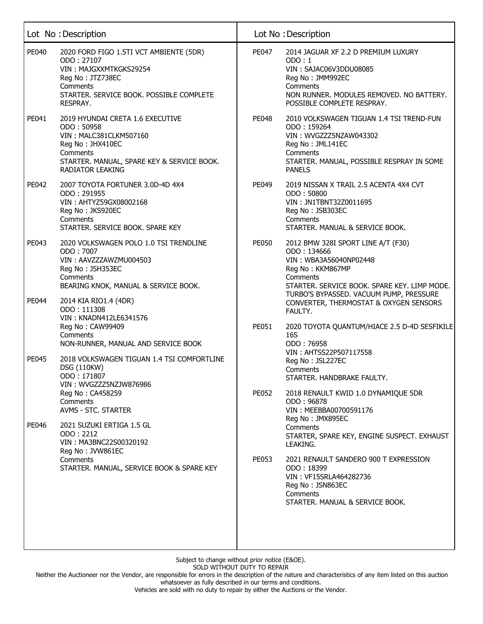|              | Lot No: Description                                                                                                                                                        |                                                                                       | Lot No: Description                                                                                                                                                              |
|--------------|----------------------------------------------------------------------------------------------------------------------------------------------------------------------------|---------------------------------------------------------------------------------------|----------------------------------------------------------------------------------------------------------------------------------------------------------------------------------|
| PE040        | 2020 FORD FIGO 1.5TI VCT AMBIENTE (5DR)<br>ODO: 27107<br>VIN: MAJGXXMTKGKS29254<br>Reg No: JTZ738EC<br>Comments<br>STARTER. SERVICE BOOK. POSSIBLE COMPLETE<br>RESPRAY.    | PE047                                                                                 | 2014 JAGUAR XF 2.2 D PREMIUM LUXURY<br>ODO:1<br>VIN: SAJAC06V3DDU08085<br>Reg No: JMM992EC<br>Comments<br>NON RUNNER. MODULES REMOVED. NO BATTERY.<br>POSSIBLE COMPLETE RESPRAY. |
| PE041        | 2019 HYUNDAI CRETA 1.6 EXECUTIVE<br>ODO: 50958<br>VIN: MALC381CLKM507160<br>Reg No: JHX410EC<br>Comments<br>STARTER. MANUAL, SPARE KEY & SERVICE BOOK.<br>RADIATOR LEAKING | PE048                                                                                 | 2010 VOLKSWAGEN TIGUAN 1.4 TSI TREND-FUN<br>ODO: 159264<br>VIN: WVGZZZ5NZAW043302<br>Reg No: JML141EC<br>Comments<br>STARTER. MANUAL, POSSIBLE RESPRAY IN SOME<br><b>PANELS</b>  |
| PE042        | 2007 TOYOTA FORTUNER 3.0D-4D 4X4<br>ODO: 291955<br>VIN: AHTYZ59GX08002168<br>Reg No: JKS920EC<br>Comments<br>STARTER. SERVICE BOOK. SPARE KEY                              | PE049                                                                                 | 2019 NISSAN X TRAIL 2.5 ACENTA 4X4 CVT<br>ODO: 50800<br>VIN: JN1TBNT32Z0011695<br>Reg No: JSB303EC<br>Comments<br>STARTER. MANUAL & SERVICE BOOK.                                |
| PE043        | 2020 VOLKSWAGEN POLO 1.0 TSI TRENDLINE<br>ODO: 7007<br>VIN: AAVZZZAWZMU004503<br>Reg No: JSH353EC<br>Comments<br>BEARING KNOK, MANUAL & SERVICE BOOK.                      | <b>PE050</b><br>ODO: 134666<br>VIN: WBA3A56040NP02448<br>Reg No: KKM867MP<br>Comments | 2012 BMW 328I SPORT LINE A/T (F30)<br>STARTER. SERVICE BOOK. SPARE KEY. LIMP MODE.<br>TURBO'S BYPASSED. VACUUM PUMP, PRESSURE                                                    |
| PE044        | 2014 KIA RIO1.4 (4DR)<br>ODO: 111308<br>VIN: KNADN412LE6341576<br>Reg No: CAW99409<br>Comments<br>NON-RUNNER, MANUAL AND SERVICE BOOK                                      | PE051                                                                                 | CONVERTER, THERMOSTAT & OXYGEN SENSORS<br>FAULTY.<br>2020 TOYOTA QUANTUM/HIACE 2.5 D-4D SESFIKILE<br>16S<br>ODO: 76958                                                           |
| <b>PE045</b> | 2018 VOLKSWAGEN TIGUAN 1.4 TSI COMFORTLINE<br><b>DSG (110KW)</b><br>ODO: 171807<br>VIN: WVGZZZ5NZJW876986                                                                  |                                                                                       | VIN: AHTSS22P507117558<br>Reg No: JSL227EC<br>Comments<br>STARTER. HANDBRAKE FAULTY.                                                                                             |
| PE046        | Reg No: CA458259<br>Comments<br><b>AVMS - STC. STARTER</b><br>2021 SUZUKI ERTIGA 1.5 GL<br>ODO: 2212<br>VIN: MA3BNC22S00320192                                             | PE052                                                                                 | 2018 RENAULT KWID 1.0 DYNAMIQUE 5DR<br>ODO: 96878<br>VIN: MEEBBA00700591176<br>Reg No: JMX895EC<br>Comments<br>STARTER, SPARE KEY, ENGINE SUSPECT. EXHAUST                       |
|              | Reg No: JVW861EC<br>Comments<br>STARTER. MANUAL, SERVICE BOOK & SPARE KEY                                                                                                  | PE053                                                                                 | LEAKING.<br>2021 RENAULT SANDERO 900 T EXPRESSION<br>ODO: 18399<br>VIN: VF15SRLA464282736<br>Reg No: JSN863EC<br>Comments<br>STARTER. MANUAL & SERVICE BOOK.                     |

Neither the Auctioneer nor the Vendor, are responsible for errors in the description of the nature and characteristics of any item listed on this auction whatsoever as fully described in our terms and conditions.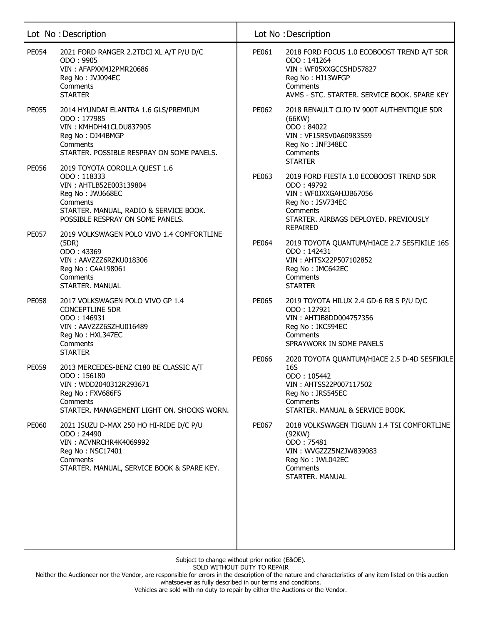| <b>PE054</b><br>2021 FORD RANGER 2.2TDCI XL A/T P/U D/C<br>ODO: 9905<br>VIN: AFAPXXMJ2PMR20686                                                                                                       | PE061        | 2018 FORD FOCUS 1.0 ECOBOOST TREND A/T 5DR<br>ODO: 141264                                                                                                                                     |
|------------------------------------------------------------------------------------------------------------------------------------------------------------------------------------------------------|--------------|-----------------------------------------------------------------------------------------------------------------------------------------------------------------------------------------------|
| Reg No: JVJ094EC<br>Comments<br><b>STARTER</b>                                                                                                                                                       |              | VIN: WF05XXGCC5HD57827<br>Reg No: HJ13WFGP<br>Comments<br>AVMS - STC. STARTER. SERVICE BOOK. SPARE KEY                                                                                        |
| <b>PE055</b><br>2014 HYUNDAI ELANTRA 1.6 GLS/PREMIUM<br>ODO: 177985<br>VIN: KMHDH41CLDU837905<br>Reg No: DJ44BMGP<br>Comments<br>STARTER. POSSIBLE RESPRAY ON SOME PANELS.                           | PE062        | 2018 RENAULT CLIO IV 900T AUTHENTIQUE 5DR<br>(66KW)<br>ODO: 84022<br>VIN: VF15RSV0A60983559<br>Reg No: JNF348EC<br>Comments                                                                   |
| <b>PE056</b><br>2019 TOYOTA COROLLA QUEST 1.6<br>ODO: 118333<br>VIN: AHTLB52E003139804<br>Reg No: JWJ668EC<br>Comments<br>STARTER. MANUAL, RADIO & SERVICE BOOK.<br>POSSIBLE RESPRAY ON SOME PANELS. | PE063        | <b>STARTER</b><br>2019 FORD FIESTA 1.0 ECOBOOST TREND 5DR<br>ODO: 49792<br>VIN: WF0JXXGAHJJB67056<br>Reg No: JSV734EC<br>Comments<br>STARTER. AIRBAGS DEPLOYED. PREVIOUSLY<br><b>REPAIRED</b> |
| <b>PE057</b><br>2019 VOLKSWAGEN POLO VIVO 1.4 COMFORTLINE<br>(5DR)<br>ODO: 43369<br>VIN: AAVZZZ6RZKU018306<br>Reg No: CAA198061<br>Comments<br>STARTER. MANUAL                                       | PE064        | 2019 TOYOTA QUANTUM/HIACE 2.7 SESFIKILE 16S<br>ODO: 142431<br>VIN: AHTSX22P507102852<br>Reg No: JMC642EC<br>Comments<br><b>STARTER</b>                                                        |
| <b>PE058</b><br>2017 VOLKSWAGEN POLO VIVO GP 1.4<br><b>CONCEPTLINE 5DR</b><br>ODO: 146931<br>VIN: AAVZZZ6SZHU016489<br>Reg No: HXL347EC<br>Comments<br><b>STARTER</b>                                | PE065        | 2019 TOYOTA HILUX 2.4 GD-6 RB S P/U D/C<br>ODO: 127921<br>VIN: AHTJB8DD004757356<br>Reg No: JKC594EC<br>Comments<br>SPRAYWORK IN SOME PANELS                                                  |
| <b>PE059</b><br>2013 MERCEDES-BENZ C180 BE CLASSIC A/T<br>ODO: 156180<br>VIN: WDD2040312R293671<br>Reg No: FXV686FS<br>Comments<br>STARTER, MANAGEMENT LIGHT ON, SHOCKS WORN,                        | <b>PE066</b> | 2020 TOYOTA QUANTUM/HIACE 2.5 D-4D SESFIKILE<br>16S<br>ODO: 105442<br>VIN: AHTSS22P007117502<br>Reg No: JRS545EC<br>Comments<br>STARTER, MANUAL & SERVICE BOOK.                               |
| PE060<br>2021 ISUZU D-MAX 250 HO HI-RIDE D/C P/U<br>ODO: 24490<br>VIN: ACVNRCHR4K4069992<br>Reg No: NSC17401<br>Comments<br>STARTER. MANUAL, SERVICE BOOK & SPARE KEY.                               | PE067        | 2018 VOLKSWAGEN TIGUAN 1.4 TSI COMFORTLINE<br>(92KW)<br>ODO: 75481<br>VIN: WVGZZZ5NZJW839083<br>Reg No: JWL042EC<br>Comments<br>STARTER. MANUAL                                               |

Neither the Auctioneer nor the Vendor, are responsible for errors in the description of the nature and characteristics of any item listed on this auction whatsoever as fully described in our terms and conditions.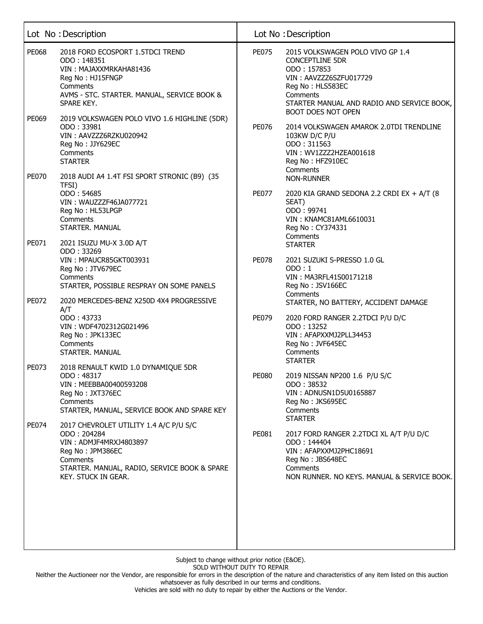|       | Lot No: Description                                                                                                                                                                    |              | Lot No: Description                                                                                                                                                                                            |
|-------|----------------------------------------------------------------------------------------------------------------------------------------------------------------------------------------|--------------|----------------------------------------------------------------------------------------------------------------------------------------------------------------------------------------------------------------|
| PE068 | 2018 FORD ECOSPORT 1.5TDCI TREND<br>ODO: 148351<br>VIN: MAJAXXMRKAHA81436<br>Reg No: HJ15FNGP<br>Comments<br>AVMS - STC. STARTER. MANUAL, SERVICE BOOK &<br>SPARE KEY.                 | <b>PE075</b> | 2015 VOLKSWAGEN POLO VIVO GP 1.4<br><b>CONCEPTLINE 5DR</b><br>ODO: 157853<br>VIN: AAVZZZ6SZFU017729<br>Reg No: HLS583EC<br>Comments<br>STARTER MANUAL AND RADIO AND SERVICE BOOK,<br><b>BOOT DOES NOT OPEN</b> |
| PE069 | 2019 VOLKSWAGEN POLO VIVO 1.6 HIGHLINE (5DR)<br>ODO: 33981<br>VIN: AAVZZZ6RZKU020942<br>Reg No: JJY629EC<br>Comments<br><b>STARTER</b>                                                 | PE076        | 2014 VOLKSWAGEN AMAROK 2.0TDI TRENDLINE<br>103KW D/C P/U<br>ODO: 311563<br>VIN: WV1ZZZ2HZEA001618<br>Reg No: HFZ910EC<br>Comments                                                                              |
| PE070 | 2018 AUDI A4 1.4T FSI SPORT STRONIC (B9) (35<br>TFSI)                                                                                                                                  |              | <b>NON-RUNNER</b>                                                                                                                                                                                              |
|       | ODO: 54685<br>VIN: WAUZZZF46JA077721<br>Reg No: HL53LPGP<br>Comments<br>STARTER. MANUAL                                                                                                | <b>PE077</b> | 2020 KIA GRAND SEDONA 2.2 CRDI EX + A/T (8<br>SEAT)<br>ODO: 99741<br>VIN: KNAMC81AML6610031<br>Reg No: CY374331<br>Comments                                                                                    |
| PE071 | 2021 ISUZU MU-X 3.0D A/T<br>ODO: 33269<br>VIN: MPAUCR85GKT003931<br>Reg No: JTV679EC<br>Comments<br>STARTER, POSSIBLE RESPRAY ON SOME PANELS                                           | <b>PE078</b> | <b>STARTER</b><br>2021 SUZUKI S-PRESSO 1.0 GL<br>ODO:1<br>VIN: MA3RFL41S00171218<br>Reg No: JSV166EC                                                                                                           |
| PE072 | 2020 MERCEDES-BENZ X250D 4X4 PROGRESSIVE<br>A/T<br>ODO: 43733<br>VIN: WDF4702312G021496<br>Reg No: JPK133EC<br>Comments<br>STARTER. MANUAL                                             | PE079        | Comments<br>STARTER, NO BATTERY, ACCIDENT DAMAGE<br>2020 FORD RANGER 2.2TDCI P/U D/C<br>ODO: 13252<br>VIN: AFAPXXMJ2PLL34453<br>Reg No: JVF645EC<br>Comments                                                   |
| PE073 | 2018 RENAULT KWID 1.0 DYNAMIQUE 5DR<br>ODO: 48317<br>VIN: MEEBBA00400593208<br>Reg No: JXT376EC<br>Comments<br>STARTER, MANUAL, SERVICE BOOK AND SPARE KEY                             | <b>PE080</b> | <b>STARTER</b><br>2019 NISSAN NP200 1.6 P/U S/C<br>ODO: 38532<br>VIN: ADNUSN1D5U0165887<br>Reg No: JKS695EC<br>Comments<br><b>STARTER</b>                                                                      |
| PE074 | 2017 CHEVROLET UTILITY 1.4 A/C P/U S/C<br>ODO: 204284<br>VIN: ADMJF4MRXJ4803897<br>Reg No: JPM386EC<br>Comments<br>STARTER. MANUAL, RADIO, SERVICE BOOK & SPARE<br>KEY. STUCK IN GEAR. | PE081        | 2017 FORD RANGER 2.2TDCI XL A/T P/U D/C<br>ODO: 144404<br>VIN: AFAPXXMJ2PHC18691<br>Reg No: JBS648EC<br>Comments<br>NON RUNNER, NO KEYS, MANUAL & SERVICE BOOK,                                                |
|       |                                                                                                                                                                                        |              |                                                                                                                                                                                                                |

Neither the Auctioneer nor the Vendor, are responsible for errors in the description of the nature and characteristics of any item listed on this auction whatsoever as fully described in our terms and conditions.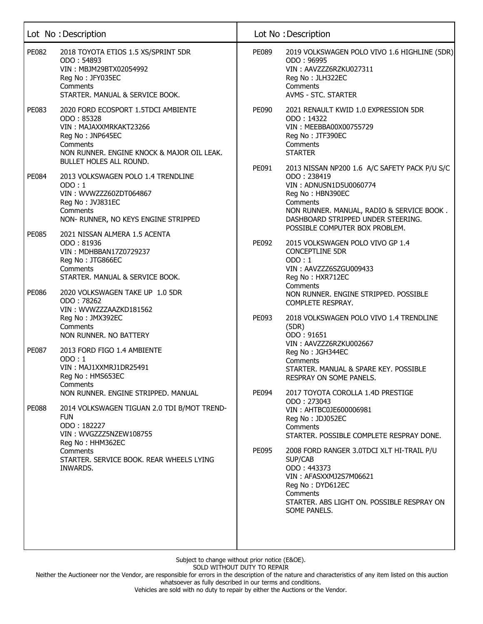|              | Lot No: Description                                                                                                                                                                  |       | Lot No: Description                                                                                                                                                                                                                         |
|--------------|--------------------------------------------------------------------------------------------------------------------------------------------------------------------------------------|-------|---------------------------------------------------------------------------------------------------------------------------------------------------------------------------------------------------------------------------------------------|
| PE082        | 2018 TOYOTA ETIOS 1.5 XS/SPRINT 5DR<br>ODO: 54893<br>VIN: MBJM29BTX02054992<br>Reg No: JFY035EC<br>Comments<br>STARTER. MANUAL & SERVICE BOOK.                                       | PE089 | 2019 VOLKSWAGEN POLO VIVO 1.6 HIGHLINE (5DR)<br>ODO: 96995<br>VIN: AAVZZZ6RZKU027311<br>Reg No: JLH322EC<br>Comments<br>AVMS - STC. STARTER                                                                                                 |
| PE083        | 2020 FORD ECOSPORT 1.5TDCI AMBIENTE<br>ODO: 85328<br>VIN: MAJAXXMRKAKT23266<br>Reg No: JNP645EC<br>Comments<br>NON RUNNER. ENGINE KNOCK & MAJOR OIL LEAK.<br>BULLET HOLES ALL ROUND. | PE090 | 2021 RENAULT KWID 1.0 EXPRESSION 5DR<br>ODO : 14322<br>VIN: MEEBBA00X00755729<br>Reg No: JTF390EC<br>Comments<br><b>STARTER</b>                                                                                                             |
| <b>PE084</b> | 2013 VOLKSWAGEN POLO 1.4 TRENDLINE<br>ODO:1<br>VIN: WVWZZZ60ZDT064867<br>Reg No: JVJ831EC<br>Comments<br>NON- RUNNER, NO KEYS ENGINE STRIPPED                                        | PE091 | 2013 NISSAN NP200 1.6 A/C SAFETY PACK P/U S/C<br>ODO: 238419<br>VIN: ADNUSN1D5U0060774<br>Reg No: HBN390EC<br>Comments<br>NON RUNNER. MANUAL, RADIO & SERVICE BOOK.<br>DASHBOARD STRIPPED UNDER STEERING.<br>POSSIBLE COMPUTER BOX PROBLEM. |
| <b>PE085</b> | 2021 NISSAN ALMERA 1.5 ACENTA<br>ODO: 81936<br>VIN: MDHBBAN17Z0729237<br>Reg No: JTG866EC<br>Comments<br>STARTER. MANUAL & SERVICE BOOK.                                             | PE092 | 2015 VOLKSWAGEN POLO VIVO GP 1.4<br><b>CONCEPTLINE 5DR</b><br>ODO:1<br>VIN: AAVZZZ6SZGU009433<br>Reg No: HXR712EC<br>Comments                                                                                                               |
| PE086        | 2020 VOLKSWAGEN TAKE UP 1.0 5DR<br>ODO: 78262<br>VIN: WVWZZZAAZKD181562<br>Reg No: JMX392EC<br>Comments<br>NON RUNNER. NO BATTERY                                                    | PE093 | NON RUNNER. ENGINE STRIPPED. POSSIBLE<br>COMPLETE RESPRAY.<br>2018 VOLKSWAGEN POLO VIVO 1.4 TRENDLINE<br>(5DR)<br>ODO: 91651                                                                                                                |
| <b>PE087</b> | 2013 FORD FIGO 1.4 AMBIENTE<br>ODO:1<br>VIN: MAJ1XXMRJ1DR25491<br>Reg No: HMS653EC<br>Comments<br>NON RUNNER. ENGINE STRIPPED. MANUAL                                                | PE094 | VIN: AAVZZZ6RZKU002667<br>Reg No: JGH344EC<br>Comments<br>STARTER. MANUAL & SPARE KEY. POSSIBLE<br>RESPRAY ON SOME PANELS.<br>2017 TOYOTA COROLLA 1.4D PRESTIGE                                                                             |
| <b>PE088</b> | 2014 VOLKSWAGEN TIGUAN 2.0 TDI B/MOT TREND-<br><b>FUN</b><br>ODO: 182227<br>VIN: WVGZZZ5NZEW108755<br>Reg No: HHM362EC                                                               |       | ODO: 273043<br>VIN: AHTBC0JE600006981<br>Reg No: JDJ052EC<br>Comments<br>STARTER. POSSIBLE COMPLETE RESPRAY DONE.                                                                                                                           |
|              | Comments<br>STARTER. SERVICE BOOK. REAR WHEELS LYING<br>INWARDS.                                                                                                                     | PE095 | 2008 FORD RANGER 3.0TDCI XLT HI-TRAIL P/U<br>SUP/CAB<br>ODO: 443373<br>VIN: AFASXXMJ2S7M06621<br>Reg No: DYD612EC<br>Comments<br>STARTER. ABS LIGHT ON. POSSIBLE RESPRAY ON<br>SOME PANELS.                                                 |

Neither the Auctioneer nor the Vendor, are responsible for errors in the description of the nature and characteristics of any item listed on this auction whatsoever as fully described in our terms and conditions.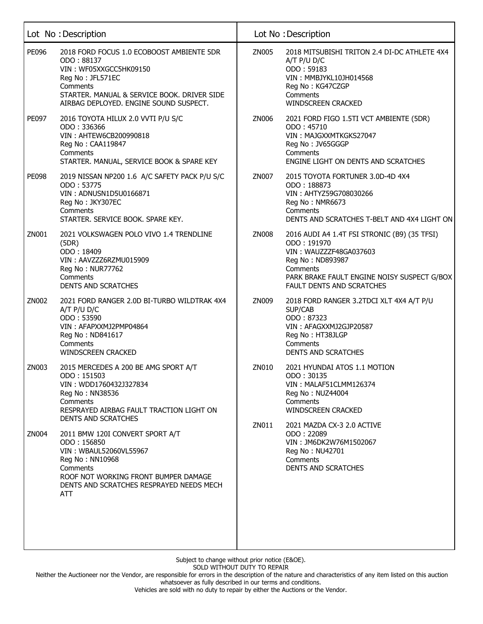|       | Lot No: Description                                                                                                                                                                                        |       | Lot No: Description                                                                                                                                                                               |
|-------|------------------------------------------------------------------------------------------------------------------------------------------------------------------------------------------------------------|-------|---------------------------------------------------------------------------------------------------------------------------------------------------------------------------------------------------|
| PE096 | 2018 FORD FOCUS 1.0 ECOBOOST AMBIENTE 5DR<br>ODO: 88137<br>VIN: WF05XXGCC5HK09150<br>Reg No: JFL571EC<br>Comments<br>STARTER. MANUAL & SERVICE BOOK. DRIVER SIDE<br>AIRBAG DEPLOYED. ENGINE SOUND SUSPECT. | ZN005 | 2018 MITSUBISHI TRITON 2.4 DI-DC ATHLETE 4X4<br>$A/T$ P/U D/C<br>ODO: 59183<br>VIN: MMBJYKL10JH014568<br>Reg No: KG47CZGP<br>Comments<br><b>WINDSCREEN CRACKED</b>                                |
| PE097 | 2016 TOYOTA HILUX 2.0 VVTI P/U S/C<br>ODO: 336366<br>VIN: AHTEW6CB200990818<br>Reg No: CAA119847<br>Comments<br>STARTER. MANUAL, SERVICE BOOK & SPARE KEY                                                  | ZN006 | 2021 FORD FIGO 1.5TI VCT AMBIENTE (5DR)<br>ODO: 45710<br>VIN: MAJGXXMTKGKS27047<br>Reg No: JV65GGGP<br>Comments<br>ENGINE LIGHT ON DENTS AND SCRATCHES                                            |
| PE098 | 2019 NISSAN NP200 1.6 A/C SAFETY PACK P/U S/C<br>ODO: 53775<br>VIN: ADNUSN1D5U0166871<br>Reg No: JKY307EC<br>Comments<br>STARTER. SERVICE BOOK. SPARE KEY.                                                 | ZN007 | 2015 TOYOTA FORTUNER 3.0D-4D 4X4<br>ODO: 188873<br>VIN: AHTYZ59G708030266<br>Reg No: NMR6673<br>Comments<br>DENTS AND SCRATCHES T-BELT AND 4X4 LIGHT ON                                           |
| ZN001 | 2021 VOLKSWAGEN POLO VIVO 1.4 TRENDLINE<br>(5DR)<br>ODO: 18409<br>VIN: AAVZZZ6RZMU015909<br>Reg No: NUR77762<br>Comments<br><b>DENTS AND SCRATCHES</b>                                                     | ZN008 | 2016 AUDI A4 1.4T FSI STRONIC (B9) (35 TFSI)<br>ODO: 191970<br>VIN: WAUZZZF48GA037603<br>Reg No: ND893987<br>Comments<br>PARK BRAKE FAULT ENGINE NOISY SUSPECT G/BOX<br>FAULT DENTS AND SCRATCHES |
| ZN002 | 2021 FORD RANGER 2.0D BI-TURBO WILDTRAK 4X4<br>A/T P/U D/C<br>ODO: 53590<br>VIN: AFAPXXMJ2PMP04864<br>Reg No: ND841617<br>Comments<br><b>WINDSCREEN CRACKED</b>                                            | ZN009 | 2018 FORD RANGER 3.2TDCI XLT 4X4 A/T P/U<br>SUP/CAB<br>ODO: 87323<br>VIN: AFAGXXMJ2GJP20587<br>Reg No: HT38JLGP<br>Comments<br><b>DENTS AND SCRATCHES</b>                                         |
| ZN003 | 2015 MERCEDES A 200 BE AMG SPORT A/T<br>ODO: 151503<br>VIN: WDD1760432J327834<br>Reg No: NN38536<br>Comments<br>RESPRAYED AIRBAG FAULT TRACTION LIGHT ON<br><b>DENTS AND SCRATCHES</b>                     | ZN010 | 2021 HYUNDAI ATOS 1.1 MOTION<br>ODO: 30135<br>VIN: MALAF51CLMM126374<br>Reg No: NUZ44004<br>Comments<br><b>WINDSCREEN CRACKED</b>                                                                 |
| ZN004 | 2011 BMW 120I CONVERT SPORT A/T<br>ODO: 156850<br>VIN: WBAUL52060VL55967<br>Reg No: NN10968<br>Comments<br>ROOF NOT WORKING FRONT BUMPER DAMAGE<br>DENTS AND SCRATCHES RESPRAYED NEEDS MECH<br>ATT         | ZN011 | 2021 MAZDA CX-3 2.0 ACTIVE<br>ODO: 22089<br>VIN: JM6DK2W76M1502067<br>Reg No: NU42701<br>Comments<br><b>DENTS AND SCRATCHES</b>                                                                   |
|       |                                                                                                                                                                                                            |       |                                                                                                                                                                                                   |

Neither the Auctioneer nor the Vendor, are responsible for errors in the description of the nature and characteristics of any item listed on this auction whatsoever as fully described in our terms and conditions.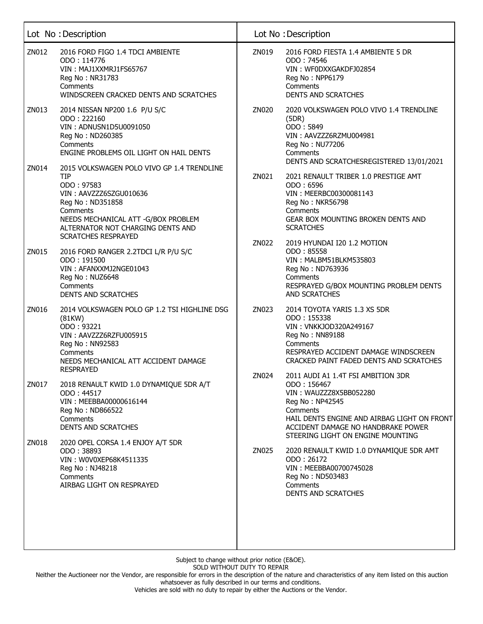|       | Lot No: Description                                                                                                                                                                                                                        |       | Lot No: Description                                                                                                                                                                                                                  |
|-------|--------------------------------------------------------------------------------------------------------------------------------------------------------------------------------------------------------------------------------------------|-------|--------------------------------------------------------------------------------------------------------------------------------------------------------------------------------------------------------------------------------------|
| ZN012 | 2016 FORD FIGO 1.4 TDCI AMBIENTE<br>ODO: 114776<br>VIN: MAJ1XXMRJ1FS65767<br>Reg No: NR31783<br>Comments<br>WINDSCREEN CRACKED DENTS AND SCRATCHES                                                                                         | ZN019 | 2016 FORD FIESTA 1.4 AMBIENTE 5 DR<br>ODO: 74546<br>VIN: WF0DXXGAKDFJ02854<br>Reg No: NPP6179<br>Comments<br><b>DENTS AND SCRATCHES</b>                                                                                              |
| ZN013 | 2014 NISSAN NP200 1.6 P/U S/C<br>ODO: 222160<br>VIN: ADNUSN1D5U0091050<br>Reg No: ND260385<br>Comments<br>ENGINE PROBLEMS OIL LIGHT ON HAIL DENTS                                                                                          | ZN020 | 2020 VOLKSWAGEN POLO VIVO 1.4 TRENDLINE<br>(5DR)<br>ODO: 5849<br>VIN: AAVZZZ6RZMU004981<br>Reg No: NU77206<br>Comments<br>DENTS AND SCRATCHESREGISTERED 13/01/2021                                                                   |
| ZN014 | 2015 VOLKSWAGEN POLO VIVO GP 1.4 TRENDLINE<br><b>TIP</b><br>ODO: 97583<br>VIN: AAVZZZ6SZGU010636<br>Reg No: ND351858<br>Comments<br>NEEDS MECHANICAL ATT -G/BOX PROBLEM<br>ALTERNATOR NOT CHARGING DENTS AND<br><b>SCRATCHES RESPRAYED</b> | ZN021 | 2021 RENAULT TRIBER 1.0 PRESTIGE AMT<br>ODO: 6596<br>VIN: MEERBC00300081143<br>Reg No: NKR56798<br>Comments<br>GEAR BOX MOUNTING BROKEN DENTS AND<br><b>SCRATCHES</b>                                                                |
| ZN015 | 2016 FORD RANGER 2.2TDCI L/R P/U S/C<br>ODO: 191500<br>VIN: AFANXXMJ2NGE01043<br>Reg No: NUZ6648<br>Comments<br><b>DENTS AND SCRATCHES</b>                                                                                                 | ZN022 | 2019 HYUNDAI I20 1.2 MOTION<br>ODO: 85558<br>VIN: MALBM51BLKM535803<br>Reg No: ND763936<br>Comments<br>RESPRAYED G/BOX MOUNTING PROBLEM DENTS<br><b>AND SCRATCHES</b>                                                                |
| ZN016 | 2014 VOLKSWAGEN POLO GP 1.2 TSI HIGHLINE DSG<br>(81KW)<br>ODO: 93221<br>VIN: AAVZZZ6RZFU005915<br>Reg No: NN92583<br>Comments<br>NEEDS MECHANICAL ATT ACCIDENT DAMAGE<br><b>RESPRAYED</b>                                                  | ZN023 | 2014 TOYOTA YARIS 1.3 XS 5DR<br>ODO: 155338<br>VIN: VNKKJOD320A249167<br>Reg No: NN89188<br>Comments<br>RESPRAYED ACCIDENT DAMAGE WINDSCREEN<br>CRACKED PAINT FADED DENTS AND SCRATCHES                                              |
| ZN017 | 2018 RENAULT KWID 1.0 DYNAMIQUE 5DR A/T<br>ODO: 44517<br>VIN: MEEBBA00000616144<br>Reg No: ND866522<br>Comments<br><b>DENTS AND SCRATCHES</b>                                                                                              | ZN024 | 2011 AUDI A1 1.4T FSI AMBITION 3DR<br>ODO: 156467<br>VIN: WAUZZZ8X5BB052280<br>Reg No: NP42545<br>Comments<br>HAIL DENTS ENGINE AND AIRBAG LIGHT ON FRONT<br>ACCIDENT DAMAGE NO HANDBRAKE POWER<br>STEERING LIGHT ON ENGINE MOUNTING |
| ZN018 | 2020 OPEL CORSA 1.4 ENJOY A/T 5DR<br>ODO: 38893<br>VIN: W0V0XEP68K4511335<br>Reg No: NJ48218<br>Comments<br>AIRBAG LIGHT ON RESPRAYED                                                                                                      | ZN025 | 2020 RENAULT KWID 1.0 DYNAMIQUE 5DR AMT<br>ODO: 26172<br>VIN: MEEBBA00700745028<br>Reg No: ND503483<br>Comments<br><b>DENTS AND SCRATCHES</b>                                                                                        |

Neither the Auctioneer nor the Vendor, are responsible for errors in the description of the nature and characteristics of any item listed on this auction whatsoever as fully described in our terms and conditions.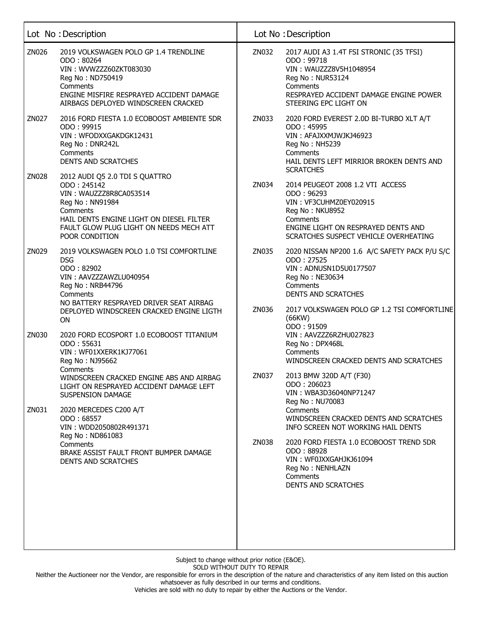|       | Lot No: Description                                                                                                                                                                                             |       | Lot No: Description                                                                                                                                                                                                           |
|-------|-----------------------------------------------------------------------------------------------------------------------------------------------------------------------------------------------------------------|-------|-------------------------------------------------------------------------------------------------------------------------------------------------------------------------------------------------------------------------------|
| ZN026 | 2019 VOLKSWAGEN POLO GP 1.4 TRENDLINE<br>ODO: 80264<br>VIN: WVWZZZ60ZKT083030<br>Reg No: ND750419<br>Comments<br>ENGINE MISFIRE RESPRAYED ACCIDENT DAMAGE<br>AIRBAGS DEPLOYED WINDSCREEN CRACKED                | ZN032 | 2017 AUDI A3 1.4T FSI STRONIC (35 TFSI)<br>ODO: 99718<br>VIN: WAUZZZ8V5H1048954<br>Reg No: NUR53124<br>Comments<br>RESPRAYED ACCIDENT DAMAGE ENGINE POWER<br>STEERING EPC LIGHT ON                                            |
| ZN027 | 2016 FORD FIESTA 1.0 ECOBOOST AMBIENTE 5DR<br>ODO: 99915<br>VIN: WFODXXGAKDGK12431<br>Reg No: DNR242L<br>Comments<br><b>DENTS AND SCRATCHES</b>                                                                 | ZN033 | 2020 FORD EVEREST 2.0D BI-TURBO XLT A/T<br>ODO: 45995<br>VIN: AFAJXXMJWJKJ46923<br>Reg No: NH5239<br>Comments<br>HAIL DENTS LEFT MIRRIOR BROKEN DENTS AND<br><b>SCRATCHES</b>                                                 |
| ZN028 | 2012 AUDI Q5 2.0 TDI S QUATTRO<br>ODO: 245142<br>VIN: WAUZZZ8R8CA053514<br>Reg No: NN91984<br>Comments<br>HAIL DENTS ENGINE LIGHT ON DIESEL FILTER<br>FAULT GLOW PLUG LIGHT ON NEEDS MECH ATT<br>POOR CONDITION | ZN034 | 2014 PEUGEOT 2008 1.2 VTI ACCESS<br>ODO: 96293<br>VIN: VF3CUHMZ0EY020915<br>Reg No: NKU8952<br>Comments<br>ENGINE LIGHT ON RESPRAYED DENTS AND<br>SCRATCHES SUSPECT VEHICLE OVERHEATING                                       |
| ZN029 | 2019 VOLKSWAGEN POLO 1.0 TSI COMFORTLINE<br><b>DSG</b><br>ODO: 82902<br>VIN: AAVZZZAWZLU040954<br>Reg No: NRB44796<br>Comments<br>NO BATTERY RESPRAYED DRIVER SEAT AIRBAG                                       | ZN035 | 2020 NISSAN NP200 1.6 A/C SAFETY PACK P/U S/C<br>ODO: 27525<br>VIN: ADNUSN1D5U0177507<br>Reg No: NE30634<br>Comments<br><b>DENTS AND SCRATCHES</b>                                                                            |
| ZN030 | DEPLOYED WINDSCREEN CRACKED ENGINE LIGTH<br><b>ON</b><br>2020 FORD ECOSPORT 1.0 ECOBOOST TITANIUM<br>ODO: 55631<br>VIN: WF01XXERK1KJ77061<br>Reg No: NJ95662                                                    | ZN036 | 2017 VOLKSWAGEN POLO GP 1.2 TSI COMFORTLINE<br>(66KW)<br>ODO: 91509<br>VIN: AAVZZZ6RZHU027823<br>Reg No: DPX468L<br>Comments<br>WINDSCREEN CRACKED DENTS AND SCRATCHES                                                        |
| ZN031 | Comments<br>WINDSCREEN CRACKED ENGINE ABS AND AIRBAG<br>LIGHT ON RESPRAYED ACCIDENT DAMAGE LEFT<br><b>SUSPENSION DAMAGE</b><br>2020 MERCEDES C200 A/T<br>ODO: 68557                                             | ZN037 | 2013 BMW 320D A/T (F30)<br>ODO: 206023<br>VIN: WBA3D36040NP71247<br>Reg No: NU70083<br>Comments                                                                                                                               |
|       | VIN: WDD2050802R491371<br>Reg No: ND861083<br>Comments<br>BRAKE ASSIST FAULT FRONT BUMPER DAMAGE<br><b>DENTS AND SCRATCHES</b>                                                                                  | ZN038 | WINDSCREEN CRACKED DENTS AND SCRATCHES<br>INFO SCREEN NOT WORKING HAIL DENTS<br>2020 FORD FIESTA 1.0 ECOBOOST TREND 5DR<br>ODO: 88928<br>VIN: WF0JXXGAHJKJ61094<br>Reg No: NENHLAZN<br>Comments<br><b>DENTS AND SCRATCHES</b> |

Neither the Auctioneer nor the Vendor, are responsible for errors in the description of the nature and characteristics of any item listed on this auction whatsoever as fully described in our terms and conditions.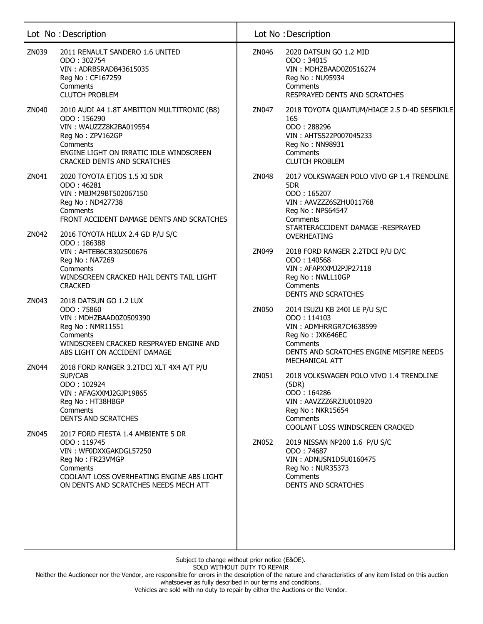|       | Lot No: Description                                                                                                                                                                               |       | Lot No: Description                                                                                                                                                                                |
|-------|---------------------------------------------------------------------------------------------------------------------------------------------------------------------------------------------------|-------|----------------------------------------------------------------------------------------------------------------------------------------------------------------------------------------------------|
| ZN039 | 2011 RENAULT SANDERO 1.6 UNITED<br>ODO: 302754<br>VIN: ADRBSRADB43615035<br>Reg No: CF167259<br>Comments<br><b>CLUTCH PROBLEM</b>                                                                 | ZN046 | 2020 DATSUN GO 1.2 MID<br>ODO: 34015<br>VIN: MDHZBAAD0Z0516274<br>Reg No: NU95934<br>Comments<br>RESPRAYED DENTS AND SCRATCHES                                                                     |
| ZN040 | 2010 AUDI A4 1.8T AMBITION MULTITRONIC (B8)<br>ODO: 156290<br>VIN: WAUZZZ8K2BA019554<br>Reg No: ZPV162GP<br>Comments<br>ENGINE LIGHT ON IRRATIC IDLE WINDSCREEN<br>CRACKED DENTS AND SCRATCHES    | ZN047 | 2018 TOYOTA QUANTUM/HIACE 2.5 D-4D SESFIKILE<br>16S<br>ODO: 288296<br>VIN: AHTSS22P007045233<br>Reg No: NN98931<br>Comments<br><b>CLUTCH PROBLEM</b>                                               |
| ZN041 | 2020 TOYOTA ETIOS 1.5 XI 5DR<br>ODO: 46281<br>VIN: MBJM29BT502067150<br>Reg No: ND427738<br>Comments<br>FRONT ACCIDENT DAMAGE DENTS AND SCRATCHES                                                 | ZN048 | 2017 VOLKSWAGEN POLO VIVO GP 1.4 TRENDLINE<br>5DR<br>ODO: 165207<br>VIN: AAVZZZ6SZHU011768<br>Reg No: NPS64547<br>Comments<br>STARTERACCIDENT DAMAGE -RESPRAYED                                    |
| ZN042 | 2016 TOYOTA HILUX 2.4 GD P/U S/C<br>ODO: 186388<br>VIN: AHTEB6CB302500676<br>Reg No: NA7269<br>Comments<br>WINDSCREEN CRACKED HAIL DENTS TAIL LIGHT<br><b>CRACKED</b>                             | ZN049 | <b>OVERHEATING</b><br>2018 FORD RANGER 2.2TDCI P/U D/C<br>ODO: 140568<br>VIN: AFAPXXMJ2PJP27118<br>Reg No: NWLL10GP<br>Comments                                                                    |
| ZN043 | 2018 DATSUN GO 1.2 LUX<br>ODO: 75860<br>VIN: MDHZBAAD0Z0509390<br>Reg No: NMR11551<br>Comments<br>WINDSCREEN CRACKED RESPRAYED ENGINE AND<br>ABS LIGHT ON ACCIDENT DAMAGE                         | ZN050 | <b>DENTS AND SCRATCHES</b><br>2014 ISUZU KB 240I LE P/U S/C<br>ODO: 114103<br>VIN: ADMHRRGR7C4638599<br>Reg No: JXK646EC<br>Comments<br>DENTS AND SCRATCHES ENGINE MISFIRE NEEDS<br>MECHANICAL ATT |
| ZN044 | 2018 FORD RANGER 3.2TDCI XLT 4X4 A/T P/U<br>SUP/CAB<br>ODO: 102924<br>VIN: AFAGXXMJ2GJP19865<br>Reg No: HT38HBGP<br>Comments<br><b>DENTS AND SCRATCHES</b>                                        | ZN051 | 2018 VOLKSWAGEN POLO VIVO 1.4 TRENDLINE<br>(5DR)<br>ODO: 164286<br>VIN: AAVZZZ6RZJU010920<br>Reg No: NKR15654<br>Comments<br>COOLANT LOSS WINDSCREEN CRACKED                                       |
| ZN045 | 2017 FORD FIESTA 1.4 AMBIENTE 5 DR<br>ODO: 119745<br>VIN: WF0DXXGAKDGL57250<br>Reg No: FR23VMGP<br>Comments<br>COOLANT LOSS OVERHEATING ENGINE ABS LIGHT<br>ON DENTS AND SCRATCHES NEEDS MECH ATT | ZN052 | 2019 NISSAN NP200 1.6 P/U S/C<br>ODO: 74687<br>VIN: ADNUSN1D5U0160475<br>Reg No: NUR35373<br>Comments<br><b>DENTS AND SCRATCHES</b>                                                                |
|       |                                                                                                                                                                                                   |       |                                                                                                                                                                                                    |

Neither the Auctioneer nor the Vendor, are responsible for errors in the description of the nature and characteristics of any item listed on this auction

whatsoever as fully described in our terms and conditions.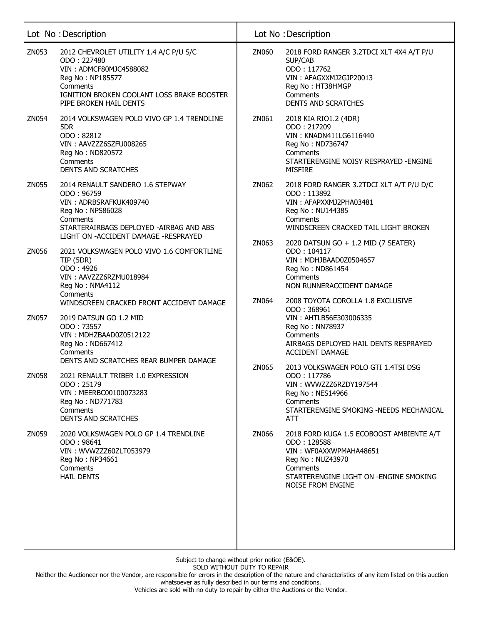|       | Lot No: Description                                                                                                                                                                            |                | Lot No: Description                                                                                                                                                                      |
|-------|------------------------------------------------------------------------------------------------------------------------------------------------------------------------------------------------|----------------|------------------------------------------------------------------------------------------------------------------------------------------------------------------------------------------|
| ZN053 | 2012 CHEVROLET UTILITY 1.4 A/C P/U S/C<br>ODO: 227480<br>VIN: ADMCF80MJC4588082<br>Reg No: NP185577<br>Comments<br>IGNITION BROKEN COOLANT LOSS BRAKE BOOSTER<br>PIPE BROKEN HAIL DENTS        | ZN060          | 2018 FORD RANGER 3.2TDCI XLT 4X4 A/T P/U<br>SUP/CAB<br>ODO: 117762<br>VIN: AFAGXXMJ2GJP20013<br>Reg No: HT38HMGP<br>Comments<br>DENTS AND SCRATCHES                                      |
| ZN054 | 2014 VOLKSWAGEN POLO VIVO GP 1.4 TRENDLINE<br>5DR<br>ODO: 82812<br>VIN: AAVZZZ6SZFU008265<br>Reg No: ND820572<br>Comments<br><b>DENTS AND SCRATCHES</b>                                        | ZN061          | 2018 KIA RIO1.2 (4DR)<br>ODO: 217209<br>VIN: KNADN411LG6116440<br>Reg No: ND736747<br>Comments<br>STARTERENGINE NOISY RESPRAYED -ENGINE<br><b>MISFIRE</b>                                |
| ZN055 | 2014 RENAULT SANDERO 1.6 STEPWAY<br>ODO: 96759<br>VIN: ADRBSRAFKUK409740<br>Reg No: NPS86028<br>Comments<br>STARTERAIRBAGS DEPLOYED - AIRBAG AND ABS<br>LIGHT ON - ACCIDENT DAMAGE - RESPRAYED | ZN062          | 2018 FORD RANGER 3.2TDCI XLT A/T P/U D/C<br>ODO: 113892<br>VIN: AFAPXXMJ2PHA03481<br>Reg No: NU144385<br>Comments<br>WINDSCREEN CRACKED TAIL LIGHT BROKEN                                |
| ZN056 | 2021 VOLKSWAGEN POLO VIVO 1.6 COMFORTLINE<br>TIP (5DR)<br>ODO: 4926<br>VIN: AAVZZZ6RZMU018984<br>Reg No: NMA4112<br>Comments<br>WINDSCREEN CRACKED FRONT ACCIDENT DAMAGE                       | ZN063<br>ZN064 | 2020 DATSUN GO + 1.2 MID (7 SEATER)<br>ODO: 104117<br>VIN: MDHJBAAD0Z0504657<br>Reg No: ND861454<br>Comments<br>NON RUNNERACCIDENT DAMAGE<br>2008 TOYOTA COROLLA 1.8 EXCLUSIVE           |
| ZN057 | 2019 DATSUN GO 1.2 MID<br>ODO: 73557<br>VIN: MDHZBAAD0Z0512122<br>Reg No: ND667412<br>Comments<br>DENTS AND SCRATCHES REAR BUMPER DAMAGE                                                       | ZN065          | ODO: 368961<br>VIN: AHTLB56E303006335<br>Reg No: NN78937<br>Comments<br>AIRBAGS DEPLOYED HAIL DENTS RESPRAYED<br><b>ACCIDENT DAMAGE</b><br>2013 VOLKSWAGEN POLO GTI 1.4TSI DSG           |
| ZN058 | 2021 RENAULT TRIBER 1.0 EXPRESSION<br>ODO: 25179<br>VIN: MEERBC00100073283<br>Reg No: ND771783<br>Comments<br><b>DENTS AND SCRATCHES</b>                                                       |                | ODO: 117786<br>VIN: WVWZZZ6RZDY197544<br>Reg No: NES14966<br>Comments<br>STARTERENGINE SMOKING -NEEDS MECHANICAL<br>ATT                                                                  |
| ZN059 | 2020 VOLKSWAGEN POLO GP 1.4 TRENDLINE<br>ODO: 98641<br>VIN: WVWZZZ60ZLT053979<br>Reg No: NP34661<br>Comments<br><b>HAIL DENTS</b>                                                              | ZN066          | 2018 FORD KUGA 1.5 ECOBOOST AMBIENTE A/T<br>ODO: 128588<br>VIN: WF0AXXWPMAHA48651<br>Reg No: NUZ43970<br>Comments<br>STARTERENGINE LIGHT ON - ENGINE SMOKING<br><b>NOISE FROM ENGINE</b> |
|       |                                                                                                                                                                                                |                |                                                                                                                                                                                          |

Neither the Auctioneer nor the Vendor, are responsible for errors in the description of the nature and characteristics of any item listed on this auction whatsoever as fully described in our terms and conditions.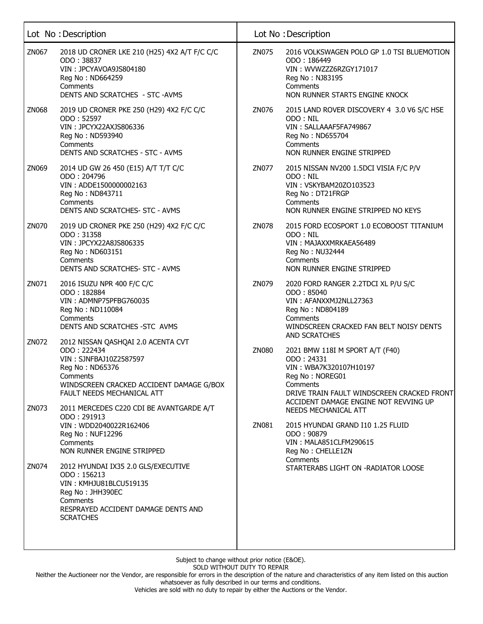|       | Lot No: Description                                                                                                                                                                  |       | Lot No: Description                                                                                                                                                                           |
|-------|--------------------------------------------------------------------------------------------------------------------------------------------------------------------------------------|-------|-----------------------------------------------------------------------------------------------------------------------------------------------------------------------------------------------|
| ZN067 | 2018 UD CRONER LKE 210 (H25) 4X2 A/T F/C C/C<br>ODO: 38837<br>VIN: JPCYAVOA9JS804180<br>Reg No: ND664259<br>Comments<br>DENTS AND SCRATCHES - STC -AVMS                              | ZN075 | 2016 VOLKSWAGEN POLO GP 1.0 TSI BLUEMOTION<br>ODO: 186449<br>VIN: WVWZZZ6RZGY171017<br>Reg No: NJ83195<br>Comments<br>NON RUNNER STARTS ENGINE KNOCK                                          |
| ZN068 | 2019 UD CRONER PKE 250 (H29) 4X2 F/C C/C<br>ODO: 52597<br>VIN: JPCYX22AXJS806336<br>Reg No: ND593940<br>Comments<br>DENTS AND SCRATCHES - STC - AVMS                                 | ZN076 | 2015 LAND ROVER DISCOVERY 4 3.0 V6 S/C HSE<br>ODO: NIL<br>VIN: SALLAAAF5FA749867<br>Reg No: ND655704<br>Comments<br>NON RUNNER ENGINE STRIPPED                                                |
| ZN069 | 2014 UD GW 26 450 (E15) A/T T/T C/C<br>ODO: 204796<br>VIN: ADDE1500000002163<br>Reg No: ND843711<br>Comments<br>DENTS AND SCRATCHES- STC - AVMS                                      | ZN077 | 2015 NISSAN NV200 1.5DCI VISIA F/C P/V<br>ODO: NIL<br>VIN: VSKYBAM20ZO103523<br>Reg No: DT21FRGP<br>Comments<br>NON RUNNER ENGINE STRIPPED NO KEYS                                            |
| ZN070 | 2019 UD CRONER PKE 250 (H29) 4X2 F/C C/C<br>ODO: 31358<br>VIN: JPCYX22A8JS806335<br>Reg No: ND603151<br>Comments<br>DENTS AND SCRATCHES- STC - AVMS                                  | ZN078 | 2015 FORD ECOSPORT 1.0 ECOBOOST TITANIUM<br>ODO: NIL<br>VIN: MAJAXXMRKAEA56489<br>Reg No: NU32444<br>Comments<br>NON RUNNER ENGINE STRIPPED                                                   |
| ZN071 | 2016 ISUZU NPR 400 F/C C/C<br>ODO: 182884<br>VIN: ADMNP75PFBG760035<br>Reg No: ND110084<br>Comments<br>DENTS AND SCRATCHES - STC AVMS                                                | ZN079 | 2020 FORD RANGER 2.2TDCI XL P/U S/C<br>ODO: 85040<br>VIN: AFANXXMJ2NLL27363<br>Reg No: ND804189<br>Comments<br>WINDSCREEN CRACKED FAN BELT NOISY DENTS<br>AND SCRATCHES                       |
| ZN072 | 2012 NISSAN QASHQAI 2.0 ACENTA CVT<br>ODO: 222434<br>VIN: SJNFBAJ10Z2587597<br>Reg No: ND65376<br>Comments<br>WINDSCREEN CRACKED ACCIDENT DAMAGE G/BOX<br>FAULT NEEDS MECHANICAL ATT | ZN080 | 2021 BMW 118I M SPORT A/T (F40)<br>ODO: 24331<br>VIN: WBA7K320107H10197<br>Reg No: NOREG01<br>Comments<br>DRIVE TRAIN FAULT WINDSCREEN CRACKED FRONT<br>ACCIDENT DAMAGE ENGINE NOT REVVING UP |
| ZN073 | 2011 MERCEDES C220 CDI BE AVANTGARDE A/T<br>ODO: 291913<br>VIN: WDD2040022R162406<br>Reg No: NUF12296<br>Comments<br>NON RUNNER ENGINE STRIPPED                                      | ZN081 | NEEDS MECHANICAL ATT<br>2015 HYUNDAI GRAND I10 1.25 FLUID<br>ODO: 90879<br>VIN: MALA851CLFM290615<br>Reg No: CHELLE1ZN                                                                        |
| ZN074 | 2012 HYUNDAI IX35 2.0 GLS/EXECUTIVE<br>ODO: 156213<br>VIN: KMHJU81BLCU519135<br>Reg No: JHH390EC<br>Comments<br>RESPRAYED ACCIDENT DAMAGE DENTS AND<br><b>SCRATCHES</b>              |       | Comments<br>STARTERABS LIGHT ON -RADIATOR LOOSE                                                                                                                                               |

Neither the Auctioneer nor the Vendor, are responsible for errors in the description of the nature and characteristics of any item listed on this auction whatsoever as fully described in our terms and conditions.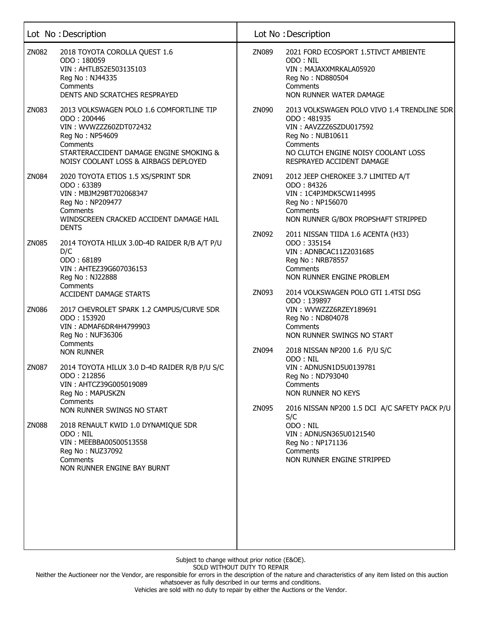|              | Lot No: Description                                                                                                                                                                                  |                | Lot No: Description                                                                                                                                                                      |
|--------------|------------------------------------------------------------------------------------------------------------------------------------------------------------------------------------------------------|----------------|------------------------------------------------------------------------------------------------------------------------------------------------------------------------------------------|
| ZN082        | 2018 TOYOTA COROLLA QUEST 1.6<br>ODO: 180059<br>VIN: AHTLB52E503135103<br>Reg No: NJ44335<br>Comments<br>DENTS AND SCRATCHES RESPRAYED                                                               | ZN089          | 2021 FORD ECOSPORT 1.5TIVCT AMBIENTE<br>ODO: NIL<br>VIN: MAJAXXMRKALA05920<br>Reg No: ND880504<br>Comments<br>NON RUNNER WATER DAMAGE                                                    |
| ZN083        | 2013 VOLKSWAGEN POLO 1.6 COMFORTLINE TIP<br>ODO: 200446<br>VIN: WVWZZZ60ZDT072432<br>Reg No: NP54609<br>Comments<br>STARTERACCIDENT DAMAGE ENGINE SMOKING &<br>NOISY COOLANT LOSS & AIRBAGS DEPLOYED | ZN090          | 2013 VOLKSWAGEN POLO VIVO 1.4 TRENDLINE 5DR<br>ODO: 481935<br>VIN: AAVZZZ6SZDU017592<br>Reg No: NUB10611<br>Comments<br>NO CLUTCH ENGINE NOISY COOLANT LOSS<br>RESPRAYED ACCIDENT DAMAGE |
| ZN084        | 2020 TOYOTA ETIOS 1.5 XS/SPRINT 5DR<br>ODO: 63389<br>VIN: MBJM29BT702068347<br>Reg No: NP209477<br>Comments<br>WINDSCREEN CRACKED ACCIDENT DAMAGE HAIL<br><b>DENTS</b>                               | ZN091<br>ZN092 | 2012 JEEP CHEROKEE 3.7 LIMITED A/T<br>ODO: 84326<br>VIN: 1C4PJMDK5CW114995<br>Reg No: NP156070<br>Comments<br>NON RUNNER G/BOX PROPSHAFT STRIPPED<br>2011 NISSAN TIIDA 1.6 ACENTA (H33)  |
| ZN085        | 2014 TOYOTA HILUX 3.0D-4D RAIDER R/B A/T P/U<br>D/C<br>ODO: 68189<br>VIN: AHTEZ39G607036153<br>Reg No: NJ22888<br>Comments<br><b>ACCIDENT DAMAGE STARTS</b>                                          | ZN093          | ODO: 335154<br>VIN: ADNBCAC11Z2031685<br>Reg No: NRB78557<br>Comments<br>NON RUNNER ENGINE PROBLEM<br>2014 VOLKSWAGEN POLO GTI 1.4TSI DSG                                                |
| ZN086        | 2017 CHEVROLET SPARK 1.2 CAMPUS/CURVE 5DR<br>ODO: 153920<br>VIN: ADMAF6DR4H4799903<br>Reg No: NUF36306<br>Comments                                                                                   | ZN094          | ODO: 139897<br>VIN: WVWZZZ6RZEY189691<br>Reg No: ND804078<br>Comments<br>NON RUNNER SWINGS NO START<br>2018 NISSAN NP200 1.6 P/U S/C                                                     |
| ZN087        | <b>NON RUNNER</b><br>2014 TOYOTA HILUX 3.0 D-4D RAIDER R/B P/U S/C<br>ODO: 212856<br>VIN: AHTCZ39G005019089<br>Reg No: MAPUSKZN<br>Comments<br>NON RUNNER SWINGS NO START                            | ZN095          | ODO: NIL<br>VIN: ADNUSN1D5U0139781<br>Reg No: ND793040<br>Comments<br>NON RUNNER NO KEYS<br>2016 NISSAN NP200 1.5 DCI A/C SAFETY PACK P/U                                                |
| <b>ZN088</b> | 2018 RENAULT KWID 1.0 DYNAMIQUE 5DR<br>ODO: NIL<br>VIN: MEEBBA00500513558<br>Reg No: NUZ37092<br>Comments<br>NON RUNNER ENGINE BAY BURNT                                                             |                | S/C<br>ODO: NIL<br>VIN: ADNUSN365U0121540<br>Reg No: NP171136<br>Comments<br>NON RUNNER ENGINE STRIPPED                                                                                  |
|              |                                                                                                                                                                                                      |                |                                                                                                                                                                                          |

Neither the Auctioneer nor the Vendor, are responsible for errors in the description of the nature and characteristics of any item listed on this auction whatsoever as fully described in our terms and conditions.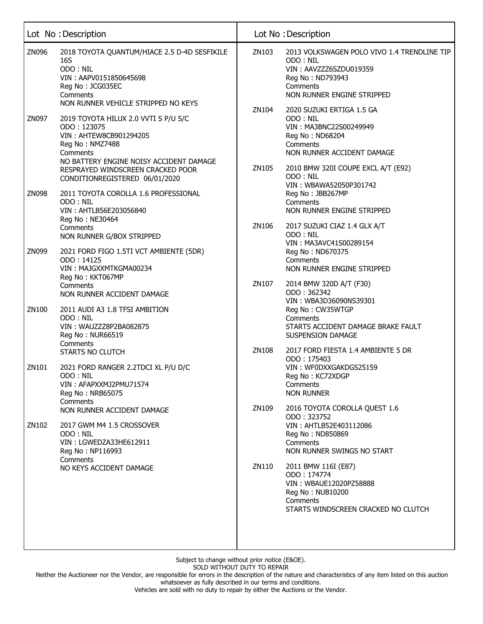|       | Lot No: Description                                                                                                                                                                                                            |                | Lot No: Description                                                                                                                                                                                      |
|-------|--------------------------------------------------------------------------------------------------------------------------------------------------------------------------------------------------------------------------------|----------------|----------------------------------------------------------------------------------------------------------------------------------------------------------------------------------------------------------|
| ZN096 | 2018 TOYOTA QUANTUM/HIACE 2.5 D-4D SESFIKILE<br>16S<br>ODO: NIL<br>VIN: AAPV0151850645698<br>Reg No: JCG035EC<br>Comments<br>NON RUNNER VEHICLE STRIPPED NO KEYS                                                               | ZN103          | 2013 VOLKSWAGEN POLO VIVO 1.4 TRENDLINE TIP<br>ODO: NIL<br>VIN: AAVZZZ6SZDU019359<br>Reg No: ND793943<br>Comments<br>NON RUNNER ENGINE STRIPPED                                                          |
| ZN097 | 2019 TOYOTA HILUX 2.0 VVTI S P/U S/C<br>ODO: 123075<br>VIN: AHTEW8CB901294205<br>Reg No: NMZ7488<br>Comments<br>NO BATTERY ENGINE NOISY ACCIDENT DAMAGE<br>RESPRAYED WINDSCREEN CRACKED POOR<br>CONDITIONREGISTERED 06/01/2020 | ZN104<br>ZN105 | 2020 SUZUKI ERTIGA 1.5 GA<br>ODO: NIL<br>VIN: MA3BNC22S00249949<br>Reg No: ND68204<br>Comments<br>NON RUNNER ACCIDENT DAMAGE<br>2010 BMW 320I COUPE EXCL A/T (E92)<br>ODO: NIL<br>VIN: WBAWA52050P301742 |
| ZN098 | 2011 TOYOTA COROLLA 1.6 PROFESSIONAL<br>ODO: NIL<br>VIN: AHTLB56E203056840<br>Reg No: NE30464<br>Comments                                                                                                                      | ZN106          | Reg No: JBB267MP<br>Comments<br>NON RUNNER ENGINE STRIPPED<br>2017 SUZUKI CIAZ 1.4 GLX A/T                                                                                                               |
| ZN099 | NON RUNNER G/BOX STRIPPED<br>2021 FORD FIGO 1.5TI VCT AMBIENTE (5DR)<br>ODO: 14125<br>VIN: MAJGXXMTKGMA00234<br>Reg No: KKT067MP                                                                                               |                | ODO: NIL<br>VIN: MA3AVC41S00289154<br>Reg No: ND670375<br>Comments<br>NON RUNNER ENGINE STRIPPED                                                                                                         |
| ZN100 | Comments<br>NON RUNNER ACCIDENT DAMAGE<br>2011 AUDI A3 1.8 TFSI AMBITION                                                                                                                                                       | ZN107          | 2014 BMW 320D A/T (F30)<br>ODO: 362342<br>VIN: WBA3D36090NS39301<br>Reg No: CW35WTGP                                                                                                                     |
|       | ODO: NIL<br>VIN: WAUZZZ8P2BA082875<br>Reg No: NUR66519<br>Comments                                                                                                                                                             |                | Comments<br>STARTS ACCIDENT DAMAGE BRAKE FAULT<br><b>SUSPENSION DAMAGE</b>                                                                                                                               |
| ZN101 | STARTS NO CLUTCH<br>2021 FORD RANGER 2.2TDCI XL P/U D/C<br>ODO: NIL<br>VIN: AFAPXXMJ2PMU71574<br>Reg No: NRB65075                                                                                                              | ZN108          | 2017 FORD FIESTA 1.4 AMBIENTE 5 DR<br>ODO: 175403<br>VIN: WF0DXXGAKDGS25159<br>Reg No: KC72XDGP<br>Comments<br><b>NON RUNNER</b>                                                                         |
| ZN102 | Comments<br>NON RUNNER ACCIDENT DAMAGE<br>2017 GWM M4 1.5 CROSSOVER<br>ODO: NIL                                                                                                                                                | ZN109          | 2016 TOYOTA COROLLA QUEST 1.6<br>ODO: 323752<br>VIN: AHTLB52E403112086<br>Reg No: ND850869                                                                                                               |
|       | VIN: LGWEDZA33HE612911<br>Reg No: NP116993<br>Comments<br>NO KEYS ACCIDENT DAMAGE                                                                                                                                              | ZN110          | Comments<br>NON RUNNER SWINGS NO START<br>2011 BMW 116I (E87)<br>ODO: 174774<br>VIN: WBAUE12020PZ58888<br>Reg No: NUB10200<br>Comments<br>STARTS WINDSCREEN CRACKED NO CLUTCH                            |
|       |                                                                                                                                                                                                                                |                |                                                                                                                                                                                                          |

Neither the Auctioneer nor the Vendor, are responsible for errors in the description of the nature and characteristics of any item listed on this auction whatsoever as fully described in our terms and conditions.